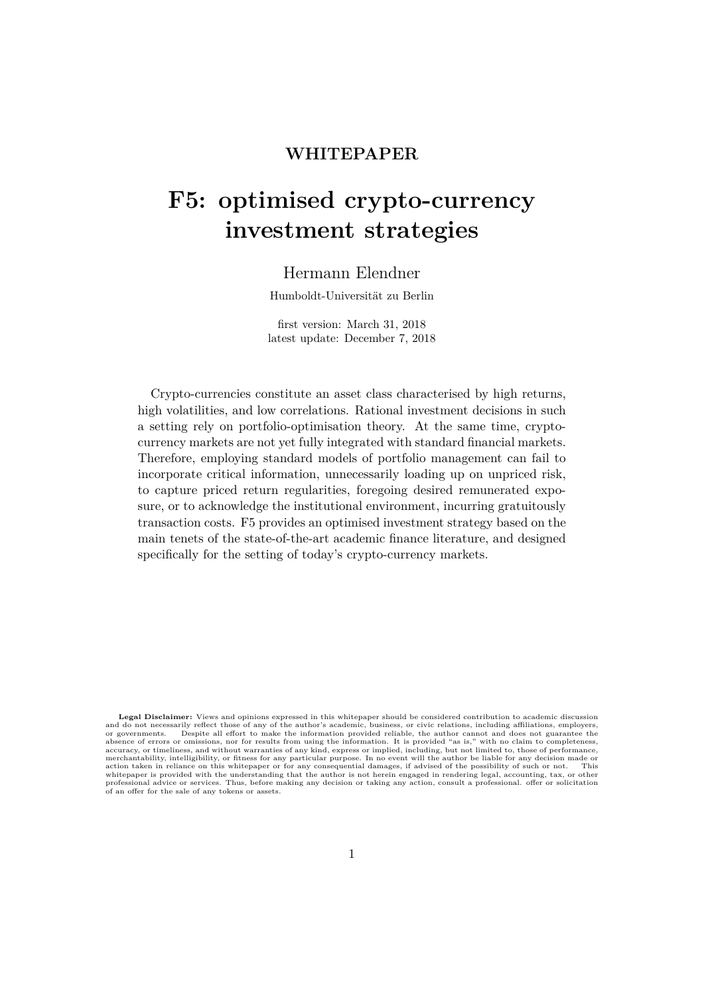## **WHITEPAPER**

# **F5: optimised crypto-currency investment strategies**

## Hermann Elendner

Humboldt-Universität zu Berlin

first version: March 31, 2018 latest update: December 7, 2018

Crypto-currencies constitute an asset class characterised by high returns, high volatilities, and low correlations. Rational investment decisions in such a setting rely on portfolio-optimisation theory. At the same time, cryptocurrency markets are not yet fully integrated with standard financial markets. Therefore, employing standard models of portfolio management can fail to incorporate critical information, unnecessarily loading up on unpriced risk, to capture priced return regularities, foregoing desired remunerated exposure, or to acknowledge the institutional environment, incurring gratuitously transaction costs. F5 provides an optimised investment strategy based on the main tenets of the state-of-the-art academic finance literature, and designed specifically for the setting of today's crypto-currency markets.

**Legal Disclaimer:** Views and opinions expressed in this whitepaper should be considered contribution to academic discussion and do not necessarily reflect those of any of the author's academic, business, or civic relations, including affiliations, employers,<br>or governments. Despite all effort to make the information provided reliable, the autho merchantability, intelligibility, or fitness for any particular purpose. In no event will the author be liable for any decision made or<br>action taken in reliance on this whitepaper or for any consequential damages, if advis whitepaper is provided with the understanding that the author is not herein engaged in rendering legal, accounting, tax, or other<br>professional advice or services. Thus, before making any decision or taking any action, cons of an offer for the sale of any tokens or assets.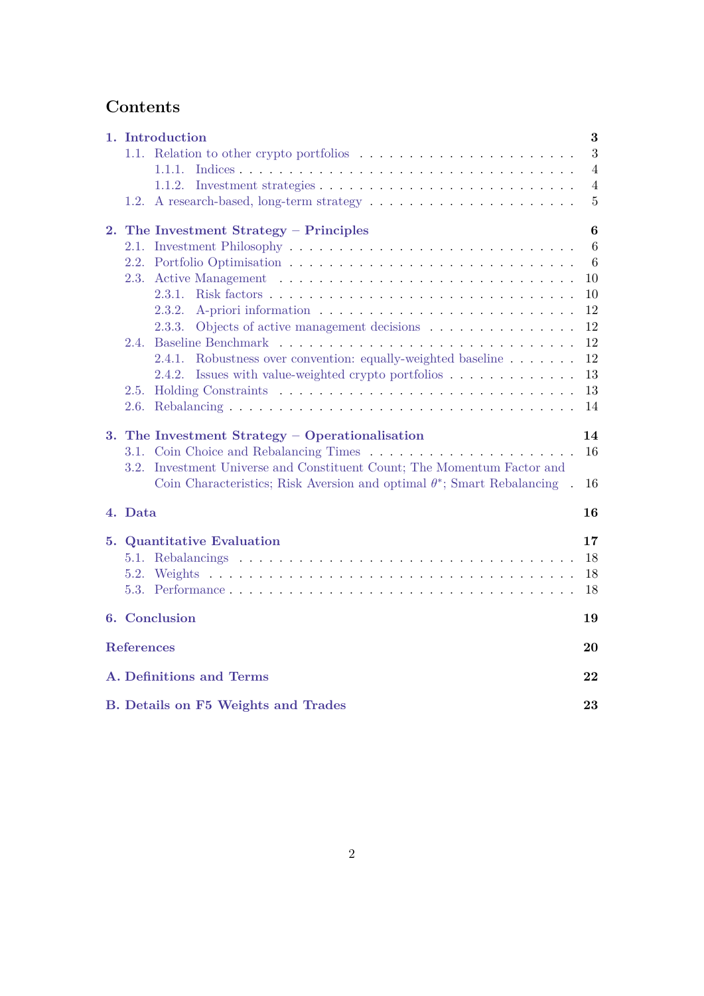## **Contents**

|    |                   | 1. Introduction                                                                 | $\bf{3}$         |
|----|-------------------|---------------------------------------------------------------------------------|------------------|
|    | 1.1.              |                                                                                 | 3                |
|    |                   | 1.1.1.                                                                          | 4                |
|    |                   | 1.1.2.                                                                          | $\overline{4}$   |
|    | 1.2.              |                                                                                 | $\overline{5}$   |
| 2. |                   | The Investment Strategy – Principles                                            | $\boldsymbol{6}$ |
|    |                   |                                                                                 | 6                |
|    |                   |                                                                                 | $6\phantom{.}6$  |
|    | 2.3.              |                                                                                 | 10               |
|    |                   | 2.3.1.                                                                          | 10               |
|    |                   | 2.3.2.                                                                          | 12               |
|    |                   | Objects of active management decisions<br>2.3.3.                                | 12               |
|    | 2.4.              |                                                                                 | 12               |
|    |                   | Robustness over convention: equally-weighted baseline<br>2.4.1.                 | 12               |
|    |                   | Issues with value-weighted crypto portfolios<br>2.4.2.                          | 13               |
|    | 2.5.              |                                                                                 | 13               |
|    | 2.6.              |                                                                                 | 14               |
|    |                   | 3. The Investment Strategy – Operationalisation                                 | 14               |
|    |                   |                                                                                 | 16               |
|    | 3.2.              | Investment Universe and Constituent Count; The Momentum Factor and              |                  |
|    |                   | Coin Characteristics; Risk Aversion and optimal $\theta^*$ ; Smart Rebalancing. | 16               |
|    | 4. Data           |                                                                                 | 16               |
|    |                   | <b>5. Quantitative Evaluation</b>                                               | 17               |
|    |                   |                                                                                 | 18               |
|    | 5.2.              |                                                                                 | 18               |
|    | 5.3.              |                                                                                 | 18               |
|    |                   |                                                                                 |                  |
|    |                   | 6. Conclusion                                                                   | 19               |
|    | <b>References</b> |                                                                                 | 20               |
|    |                   | A. Definitions and Terms                                                        | 22               |
|    |                   | <b>B.</b> Details on F5 Weights and Trades                                      | 23               |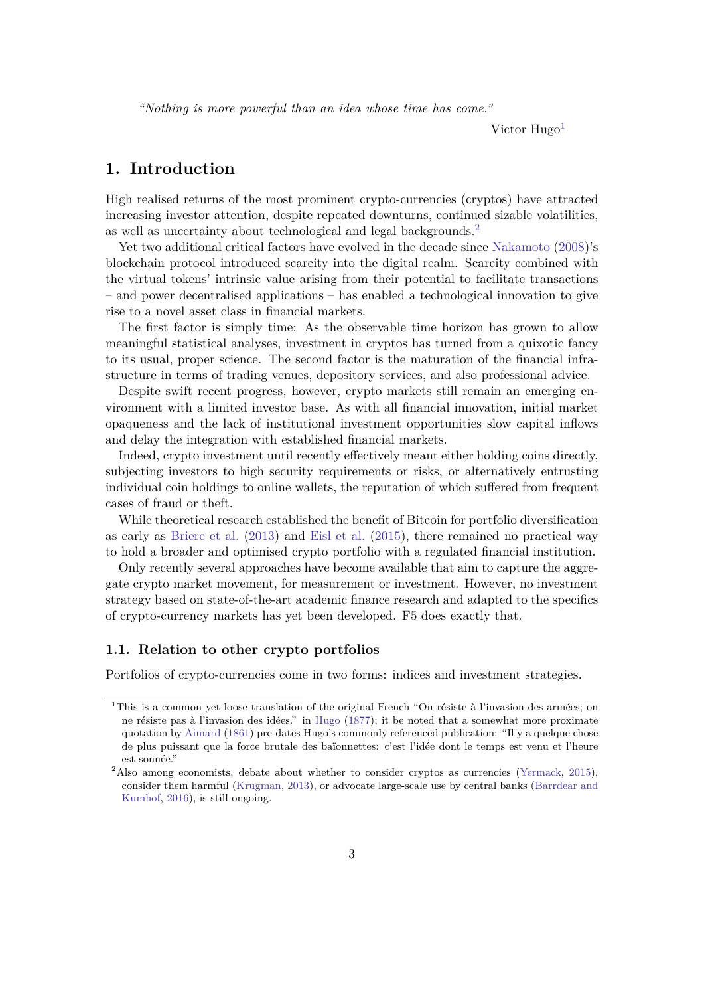*"Nothing is more powerful than an idea whose time has come."*

Victor  $Huge<sup>1</sup>$  $Huge<sup>1</sup>$  $Huge<sup>1</sup>$ 

## <span id="page-2-0"></span>**1. Introduction**

High realised returns of the most prominent crypto-currencies (cryptos) have attracted increasing investor attention, despite repeated downturns, continued sizable volatilities, as well as uncertainty about technological and legal backgrounds.[2](#page-2-3)

Yet two additional critical factors have evolved in the decade since [Nakamoto](#page-20-0) [\(2008\)](#page-20-0)'s blockchain protocol introduced scarcity into the digital realm. Scarcity combined with the virtual tokens' intrinsic value arising from their potential to facilitate transactions – and power decentralised applications – has enabled a technological innovation to give rise to a novel asset class in financial markets.

The first factor is simply time: As the observable time horizon has grown to allow meaningful statistical analyses, investment in cryptos has turned from a quixotic fancy to its usual, proper science. The second factor is the maturation of the financial infrastructure in terms of trading venues, depository services, and also professional advice.

Despite swift recent progress, however, crypto markets still remain an emerging environment with a limited investor base. As with all financial innovation, initial market opaqueness and the lack of institutional investment opportunities slow capital inflows and delay the integration with established financial markets.

Indeed, crypto investment until recently effectively meant either holding coins directly, subjecting investors to high security requirements or risks, or alternatively entrusting individual coin holdings to online wallets, the reputation of which suffered from frequent cases of fraud or theft.

While theoretical research established the benefit of Bitcoin for portfolio diversification as early as [Briere et al.](#page-19-0) [\(2013\)](#page-19-0) and [Eisl et al.](#page-19-1) [\(2015\)](#page-19-1), there remained no practical way to hold a broader and optimised crypto portfolio with a regulated financial institution.

Only recently several approaches have become available that aim to capture the aggregate crypto market movement, for measurement or investment. However, no investment strategy based on state-of-the-art academic finance research and adapted to the specifics of crypto-currency markets has yet been developed. F5 does exactly that.

#### <span id="page-2-1"></span>**1.1. Relation to other crypto portfolios**

Portfolios of crypto-currencies come in two forms: indices and investment strategies.

<span id="page-2-2"></span><sup>1</sup>This is a common yet loose translation of the original French "On résiste à l'invasion des armées; on ne résiste pas à l'invasion des idées." in [Hugo](#page-20-1) [\(1877\)](#page-20-1); it be noted that a somewhat more proximate quotation by [Aimard](#page-19-2) [\(1861\)](#page-19-2) pre-dates Hugo's commonly referenced publication: "Il y a quelque chose de plus puissant que la force brutale des baïonnettes: c'est l'idée dont le temps est venu et l'heure est sonnée."

<span id="page-2-3"></span><sup>&</sup>lt;sup>2</sup>Also among economists, debate about whether to consider cryptos as currencies [\(Yermack,](#page-20-2) [2015\)](#page-20-2), consider them harmful [\(Krugman,](#page-20-3) [2013\)](#page-20-3), or advocate large-scale use by central banks [\(Barrdear and](#page-19-3) [Kumhof,](#page-19-3) [2016\)](#page-19-3), is still ongoing.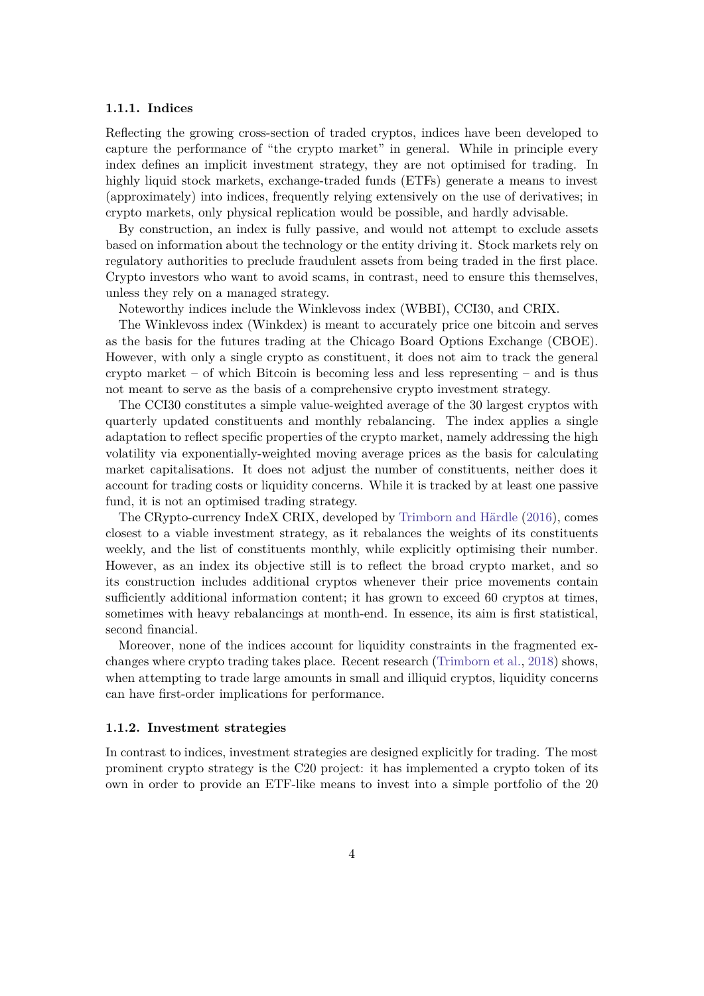#### <span id="page-3-0"></span>**1.1.1. Indices**

Reflecting the growing cross-section of traded cryptos, indices have been developed to capture the performance of "the crypto market" in general. While in principle every index defines an implicit investment strategy, they are not optimised for trading. In highly liquid stock markets, exchange-traded funds (ETFs) generate a means to invest (approximately) into indices, frequently relying extensively on the use of derivatives; in crypto markets, only physical replication would be possible, and hardly advisable.

By construction, an index is fully passive, and would not attempt to exclude assets based on information about the technology or the entity driving it. Stock markets rely on regulatory authorities to preclude fraudulent assets from being traded in the first place. Crypto investors who want to avoid scams, in contrast, need to ensure this themselves, unless they rely on a managed strategy.

Noteworthy indices include the Winklevoss index (WBBI), CCI30, and CRIX.

The Winklevoss index (Winkdex) is meant to accurately price one bitcoin and serves as the basis for the futures trading at the Chicago Board Options Exchange (CBOE). However, with only a single crypto as constituent, it does not aim to track the general crypto market – of which Bitcoin is becoming less and less representing – and is thus not meant to serve as the basis of a comprehensive crypto investment strategy.

The CCI30 constitutes a simple value-weighted average of the 30 largest cryptos with quarterly updated constituents and monthly rebalancing. The index applies a single adaptation to reflect specific properties of the crypto market, namely addressing the high volatility via exponentially-weighted moving average prices as the basis for calculating market capitalisations. It does not adjust the number of constituents, neither does it account for trading costs or liquidity concerns. While it is tracked by at least one passive fund, it is not an optimised trading strategy.

The CRypto-currency IndeX CRIX, developed by [Trimborn and Härdle](#page-20-4) [\(2016\)](#page-20-4), comes closest to a viable investment strategy, as it rebalances the weights of its constituents weekly, and the list of constituents monthly, while explicitly optimising their number. However, as an index its objective still is to reflect the broad crypto market, and so its construction includes additional cryptos whenever their price movements contain sufficiently additional information content; it has grown to exceed 60 cryptos at times, sometimes with heavy rebalancings at month-end. In essence, its aim is first statistical, second financial.

Moreover, none of the indices account for liquidity constraints in the fragmented exchanges where crypto trading takes place. Recent research [\(Trimborn et al.,](#page-20-5) [2018\)](#page-20-5) shows, when attempting to trade large amounts in small and illiquid cryptos, liquidity concerns can have first-order implications for performance.

#### <span id="page-3-1"></span>**1.1.2. Investment strategies**

In contrast to indices, investment strategies are designed explicitly for trading. The most prominent crypto strategy is the C20 project: it has implemented a crypto token of its own in order to provide an ETF-like means to invest into a simple portfolio of the 20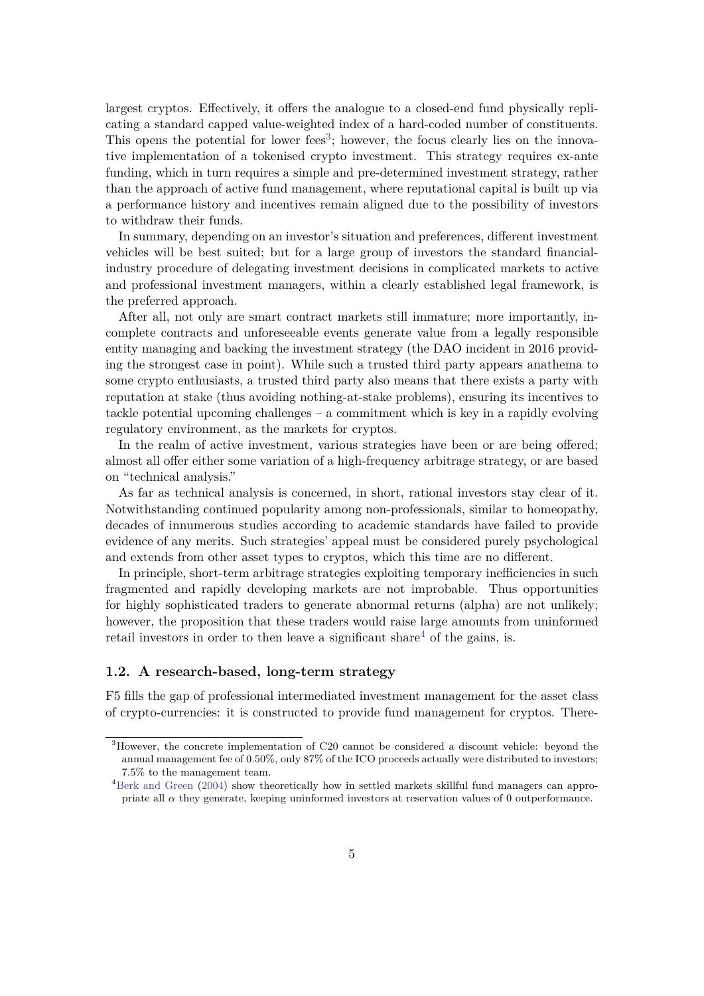largest cryptos. Effectively, it offers the analogue to a closed-end fund physically replicating a standard capped value-weighted index of a hard-coded number of constituents. This opens the potential for lower fees<sup>[3](#page-4-1)</sup>; however, the focus clearly lies on the innovative implementation of a tokenised crypto investment. This strategy requires ex-ante funding, which in turn requires a simple and pre-determined investment strategy, rather than the approach of active fund management, where reputational capital is built up via a performance history and incentives remain aligned due to the possibility of investors to withdraw their funds.

In summary, depending on an investor's situation and preferences, different investment vehicles will be best suited; but for a large group of investors the standard financialindustry procedure of delegating investment decisions in complicated markets to active and professional investment managers, within a clearly established legal framework, is the preferred approach.

After all, not only are smart contract markets still immature; more importantly, incomplete contracts and unforeseeable events generate value from a legally responsible entity managing and backing the investment strategy (the DAO incident in 2016 providing the strongest case in point). While such a trusted third party appears anathema to some crypto enthusiasts, a trusted third party also means that there exists a party with reputation at stake (thus avoiding nothing-at-stake problems), ensuring its incentives to tackle potential upcoming challenges – a commitment which is key in a rapidly evolving regulatory environment, as the markets for cryptos.

In the realm of active investment, various strategies have been or are being offered; almost all offer either some variation of a high-frequency arbitrage strategy, or are based on "technical analysis."

As far as technical analysis is concerned, in short, rational investors stay clear of it. Notwithstanding continued popularity among non-professionals, similar to homeopathy, decades of innumerous studies according to academic standards have failed to provide evidence of any merits. Such strategies' appeal must be considered purely psychological and extends from other asset types to cryptos, which this time are no different.

In principle, short-term arbitrage strategies exploiting temporary inefficiencies in such fragmented and rapidly developing markets are not improbable. Thus opportunities for highly sophisticated traders to generate abnormal returns (alpha) are not unlikely; however, the proposition that these traders would raise large amounts from uninformed retail investors in order to then leave a significant share<sup>[4](#page-4-2)</sup> of the gains, is.

#### <span id="page-4-0"></span>**1.2. A research-based, long-term strategy**

F5 fills the gap of professional intermediated investment management for the asset class of crypto-currencies: it is constructed to provide fund management for cryptos. There-

<span id="page-4-1"></span><sup>3</sup>However, the concrete implementation of C20 cannot be considered a discount vehicle: beyond the annual management fee of 0.50%, only 87% of the ICO proceeds actually were distributed to investors; 7.5% to the management team.

<span id="page-4-2"></span><sup>&</sup>lt;sup>4</sup>[Berk and Green](#page-19-4) [\(2004\)](#page-19-4) show theoretically how in settled markets skillful fund managers can appropriate all  $\alpha$  they generate, keeping uninformed investors at reservation values of 0 outperformance.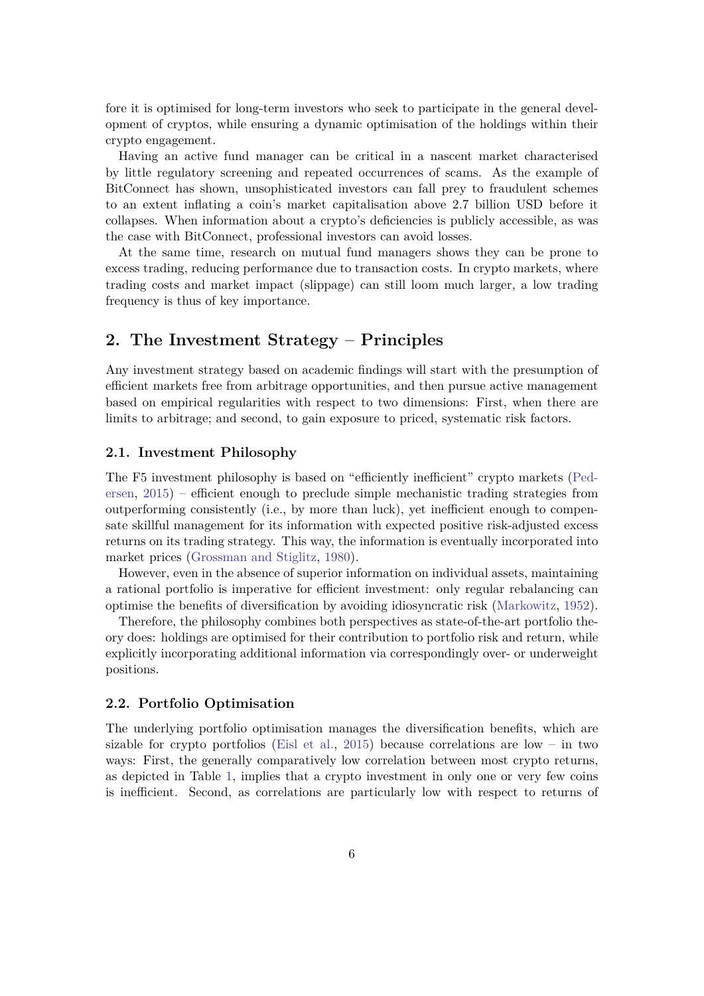fore it is optimised for long-term investors who seek to participate in the general development of cryptos, while ensuring a dynamic optimisation of the holdings within their crypto engagement.

Having an active fund manager can be critical in a nascent market characterised by little regulatory screening and repeated occurrences of scams. As the example of BitConnect has shown, unsophisticated investors can fall prey to fraudulent schemes to an extent inflating a coin's market capitalisation above 2.7 billion USD before it collapses. When information about a crypto's deficiencies is publicly accessible, as was the case with BitConnect, professional investors can avoid losses.

At the same time, research on mutual fund managers shows they can be prone to excess trading, reducing performance due to transaction costs. In crypto markets, where trading costs and market impact (slippage) can still loom much larger, a low trading frequency is thus of key importance.

## <span id="page-5-0"></span>**2. The Investment Strategy – Principles**

Any investment strategy based on academic findings will start with the presumption of efficient markets free from arbitrage opportunities, and then pursue active management based on empirical regularities with respect to two dimensions: First, when there are limits to arbitrage; and second, to gain exposure to priced, systematic risk factors.

#### <span id="page-5-1"></span>**2.1. Investment Philosophy**

The F5 investment philosophy is based on "efficiently inefficient" crypto markets [\(Ped](#page-20-6)[ersen,](#page-20-6) [2015\)](#page-20-6) – efficient enough to preclude simple mechanistic trading strategies from outperforming consistently (i.e., by more than luck), yet inefficient enough to compensate skillful management for its information with expected positive risk-adjusted excess returns on its trading strategy. This way, the information is eventually incorporated into market prices [\(Grossman and Stiglitz,](#page-19-5) [1980\)](#page-19-5).

However, even in the absence of superior information on individual assets, maintaining a rational portfolio is imperative for efficient investment: only regular rebalancing can optimise the benefits of diversification by avoiding idiosyncratic risk [\(Markowitz,](#page-20-7) [1952\)](#page-20-7).

Therefore, the philosophy combines both perspectives as state-of-the-art portfolio theory does: holdings are optimised for their contribution to portfolio risk and return, while explicitly incorporating additional information via correspondingly over- or underweight positions.

#### <span id="page-5-2"></span>**2.2. Portfolio Optimisation**

The underlying portfolio optimisation manages the diversification benefits, which are sizable for crypto portfolios [\(Eisl et al.,](#page-19-1) [2015\)](#page-19-1) because correlations are low – in two ways: First, the generally comparatively low correlation between most crypto returns, as depicted in Table [1,](#page-6-0) implies that a crypto investment in only one or very few coins is inefficient. Second, as correlations are particularly low with respect to returns of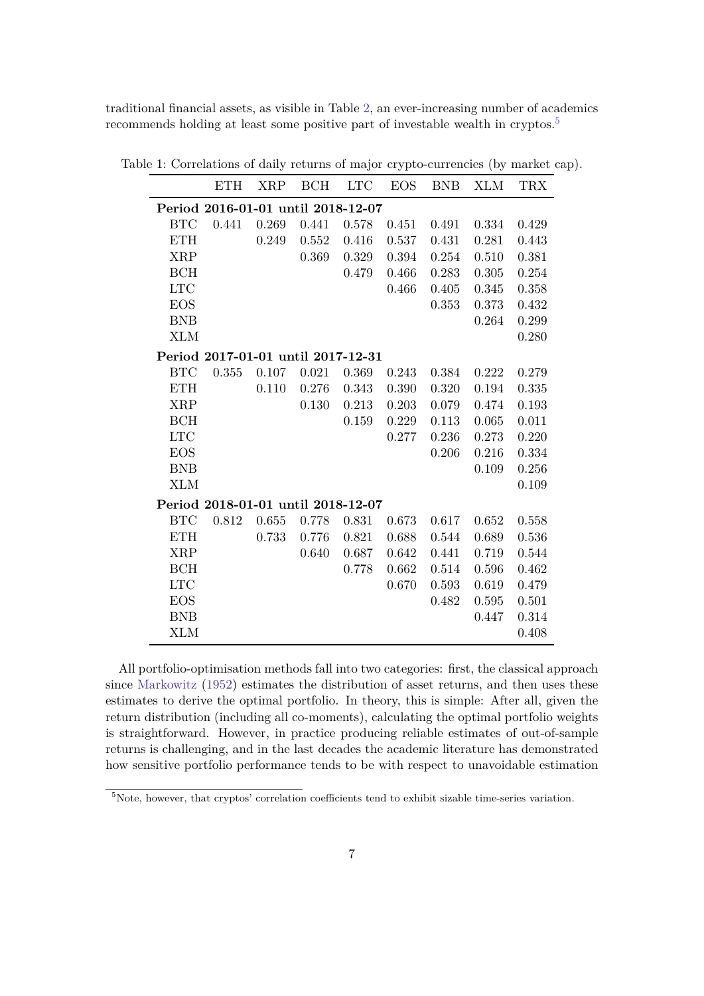traditional financial assets, as visible in Table [2,](#page-7-0) an ever-increasing number of academics recommends holding at least some positive part of investable wealth in cryptos.<sup>[5](#page-6-1)</sup>

<span id="page-6-0"></span>

|                                    | <b>ETH</b> | <b>XRP</b> | BCH   | <b>LTC</b> | <b>EOS</b> | <b>BNB</b> | <b>XLM</b> | <b>TRX</b> |
|------------------------------------|------------|------------|-------|------------|------------|------------|------------|------------|
| Period 2016-01-01 until 2018-12-07 |            |            |       |            |            |            |            |            |
| $_{\rm BTC}$                       | 0.441      | 0.269      | 0.441 | 0.578      | 0.451      | 0.491      | 0.334      | 0.429      |
| <b>ETH</b>                         |            | 0.249      | 0.552 | 0.416      | 0.537      | 0.431      | 0.281      | 0.443      |
| <b>XRP</b>                         |            |            | 0.369 | 0.329      | 0.394      | 0.254      | 0.510      | 0.381      |
| BCH                                |            |            |       | 0.479      | 0.466      | 0.283      | 0.305      | 0.254      |
| LTC                                |            |            |       |            | 0.466      | 0.405      | 0.345      | 0.358      |
| <b>EOS</b>                         |            |            |       |            |            | 0.353      | 0.373      | 0.432      |
| <b>BNB</b>                         |            |            |       |            |            |            | 0.264      | 0.299      |
| <b>XLM</b>                         |            |            |       |            |            |            |            | 0.280      |
| Period 2017-01-01 until 2017-12-31 |            |            |       |            |            |            |            |            |
| <b>BTC</b>                         | 0.355      | 0.107      | 0.021 | 0.369      | 0.243      | 0.384      | 0.222      | 0.279      |
| <b>ETH</b>                         |            | 0.110      | 0.276 | 0.343      | 0.390      | 0.320      | 0.194      | 0.335      |
| <b>XRP</b>                         |            |            | 0.130 | 0.213      | 0.203      | 0.079      | 0.474      | 0.193      |
| <b>BCH</b>                         |            |            |       | 0.159      | 0.229      | 0.113      | 0.065      | 0.011      |
| <b>LTC</b>                         |            |            |       |            | 0.277      | 0.236      | 0.273      | 0.220      |
| <b>EOS</b>                         |            |            |       |            |            | 0.206      | 0.216      | 0.334      |
| <b>BNB</b>                         |            |            |       |            |            |            | 0.109      | 0.256      |
| <b>XLM</b>                         |            |            |       |            |            |            |            | 0.109      |
| Period 2018-01-01 until 2018-12-07 |            |            |       |            |            |            |            |            |
| <b>BTC</b>                         | 0.812      | 0.655      | 0.778 | 0.831      | 0.673      | 0.617      | 0.652      | 0.558      |
| <b>ETH</b>                         |            | 0.733      | 0.776 | 0.821      | 0.688      | 0.544      | 0.689      | 0.536      |
| <b>XRP</b>                         |            |            | 0.640 | 0.687      | 0.642      | 0.441      | 0.719      | 0.544      |
| BCH                                |            |            |       | 0.778      | 0.662      | 0.514      | 0.596      | 0.462      |
| <b>LTC</b>                         |            |            |       |            | 0.670      | 0.593      | 0.619      | 0.479      |
| <b>EOS</b>                         |            |            |       |            |            | 0.482      | 0.595      | 0.501      |
| <b>BNB</b>                         |            |            |       |            |            |            | 0.447      | 0.314      |
| <b>XLM</b>                         |            |            |       |            |            |            |            | 0.408      |

Table 1: Correlations of daily returns of major crypto-currencies (by market cap).

All portfolio-optimisation methods fall into two categories: first, the classical approach since [Markowitz](#page-20-7) [\(1952\)](#page-20-7) estimates the distribution of asset returns, and then uses these estimates to derive the optimal portfolio. In theory, this is simple: After all, given the return distribution (including all co-moments), calculating the optimal portfolio weights is straightforward. However, in practice producing reliable estimates of out-of-sample returns is challenging, and in the last decades the academic literature has demonstrated how sensitive portfolio performance tends to be with respect to unavoidable estimation

<span id="page-6-1"></span><sup>&</sup>lt;sup>5</sup>Note, however, that cryptos' correlation coefficients tend to exhibit sizable time-series variation.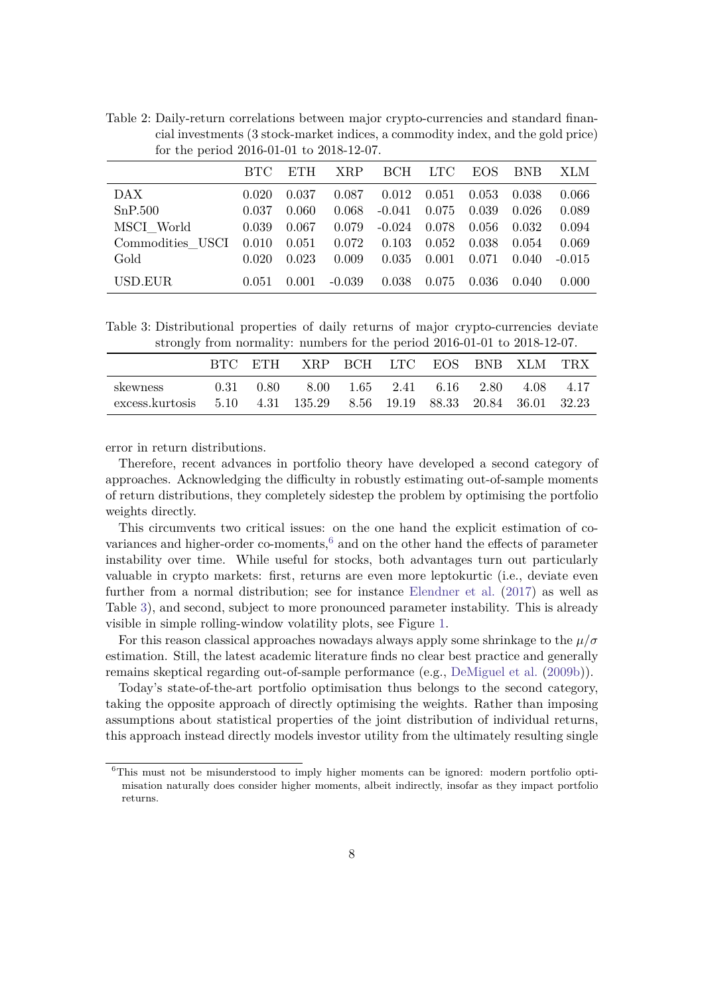|                  | BTC.  | ETH.  | <b>XRP</b> |          | BCH LTC | EOS.   | <b>BNB</b> | XLM      |
|------------------|-------|-------|------------|----------|---------|--------|------------|----------|
| DAX              | 0.020 | 0.037 | 0.087      | 0.012    | 0.051   | 0.053  | 0.038      | 0.066    |
| SnP.500          | 0.037 | 0.060 | 0.068      | $-0.041$ | 0.075   | 0.039  | 0.026      | 0.089    |
| MSCI World       | 0.039 | 0.067 | 0.079      | $-0.024$ | 0.078   | -0.056 | 0.032      | 0.094    |
| Commodities USCI | 0.010 | 0.051 | 0.072      | 0.103    | 0.052   | 0.038  | 0.054      | 0.069    |
| Gold             | 0.020 | 0.023 | 0.009      | 0.035    | 0.001   | 0.071  | 0.040      | $-0.015$ |
| USD.EUR          | 0.051 | 0.001 | $-0.039$   | 0.038    | 0.075   | 0.036  | 0.040      | 0.000    |

<span id="page-7-0"></span>Table 2: Daily-return correlations between major crypto-currencies and standard financial investments (3 stock-market indices, a commodity index, and the gold price) for the period 2016-01-01 to 2018-12-07.

<span id="page-7-2"></span>Table 3: Distributional properties of daily returns of major crypto-currencies deviate strongly from normality: numbers for the period 2016-01-01 to 2018-12-07.

|                                                                                 |  | BTC ETH XRP BCH LTC EOS BNB XLM TRX          |  |  |  |
|---------------------------------------------------------------------------------|--|----------------------------------------------|--|--|--|
| skewness<br>excess.kurtosis 5.10 4.31 135.29 8.56 19.19 88.33 20.84 36.01 32.23 |  | 0.31 0.80 8.00 1.65 2.41 6.16 2.80 4.08 4.17 |  |  |  |

error in return distributions.

Therefore, recent advances in portfolio theory have developed a second category of approaches. Acknowledging the difficulty in robustly estimating out-of-sample moments of return distributions, they completely sidestep the problem by optimising the portfolio weights directly.

This circumvents two critical issues: on the one hand the explicit estimation of covariances and higher-order co-moments, $6$  and on the other hand the effects of parameter instability over time. While useful for stocks, both advantages turn out particularly valuable in crypto markets: first, returns are even more leptokurtic (i.e., deviate even further from a normal distribution; see for instance [Elendner et al.](#page-19-6) [\(2017\)](#page-19-6) as well as Table [3\)](#page-7-2), and second, subject to more pronounced parameter instability. This is already visible in simple rolling-window volatility plots, see Figure [1.](#page-8-0)

For this reason classical approaches nowadays always apply some shrinkage to the  $\mu/\sigma$ estimation. Still, the latest academic literature finds no clear best practice and generally remains skeptical regarding out-of-sample performance (e.g., [DeMiguel et al.](#page-19-7) [\(2009b\)](#page-19-7)).

Today's state-of-the-art portfolio optimisation thus belongs to the second category, taking the opposite approach of directly optimising the weights. Rather than imposing assumptions about statistical properties of the joint distribution of individual returns, this approach instead directly models investor utility from the ultimately resulting single

<span id="page-7-1"></span> $6$ This must not be misunderstood to imply higher moments can be ignored: modern portfolio optimisation naturally does consider higher moments, albeit indirectly, insofar as they impact portfolio returns.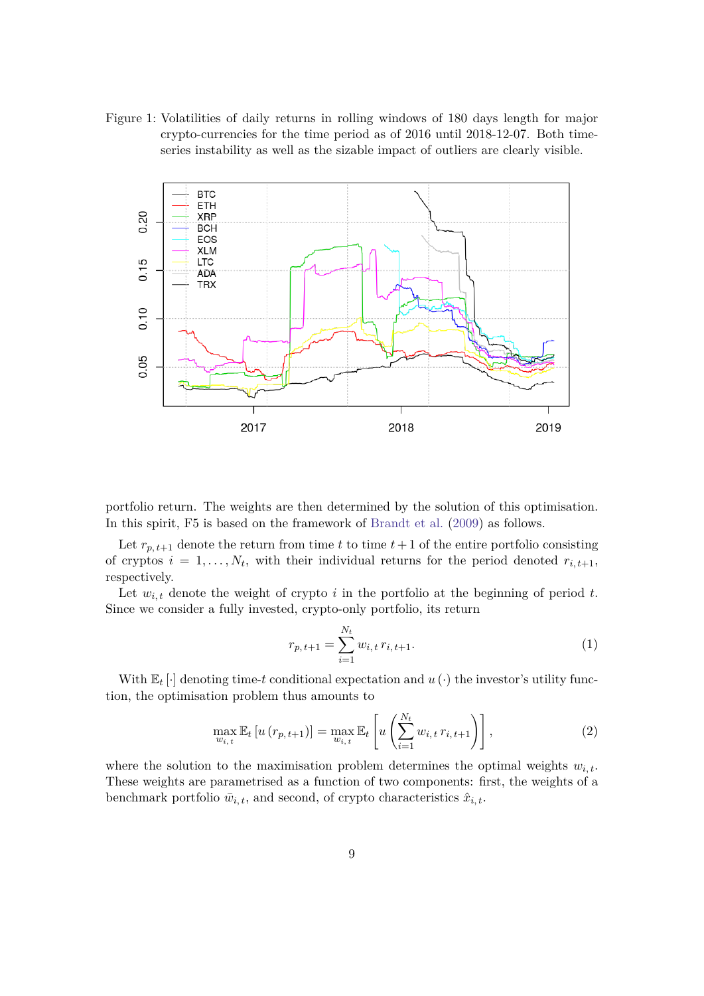<span id="page-8-0"></span>Figure 1: Volatilities of daily returns in rolling windows of 180 days length for major crypto-currencies for the time period as of 2016 until 2018-12-07. Both timeseries instability as well as the sizable impact of outliers are clearly visible.



portfolio return. The weights are then determined by the solution of this optimisation. In this spirit, F5 is based on the framework of [Brandt et al.](#page-19-8) [\(2009\)](#page-19-8) as follows.

Let  $r_{p,t+1}$  denote the return from time  $t$  to time  $t+1$  of the entire portfolio consisting of cryptos  $i = 1, \ldots, N_t$ , with their individual returns for the period denoted  $r_{i, t+1}$ , respectively.

Let  $w_{i,t}$  denote the weight of crypto  $i$  in the portfolio at the beginning of period  $t$ . Since we consider a fully invested, crypto-only portfolio, its return

$$
r_{p,t+1} = \sum_{i=1}^{N_t} w_{i,t} r_{i,t+1}.
$$
\n(1)

With  $\mathbb{E}_t$  [·] denoting time-*t* conditional expectation and  $u(\cdot)$  the investor's utility function, the optimisation problem thus amounts to

<span id="page-8-1"></span>
$$
\max_{w_{i,t}} \mathbb{E}_t \left[ u \left( r_{p,t+1} \right) \right] = \max_{w_{i,t}} \mathbb{E}_t \left[ u \left( \sum_{i=1}^{N_t} w_{i,t} \, r_{i,t+1} \right) \right],\tag{2}
$$

where the solution to the maximisation problem determines the optimal weights *wi, t*. These weights are parametrised as a function of two components: first, the weights of a benchmark portfolio  $\bar{w}_{i,t}$ , and second, of crypto characteristics  $\hat{x}_{i,t}$ .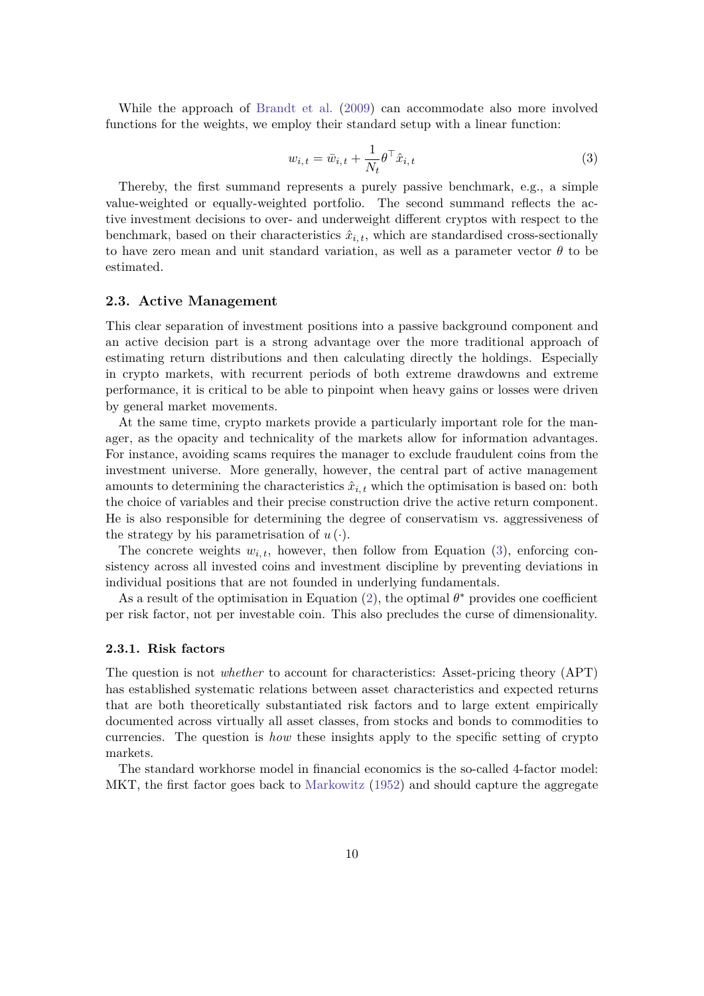While the approach of [Brandt et al.](#page-19-8) [\(2009\)](#page-19-8) can accommodate also more involved functions for the weights, we employ their standard setup with a linear function:

<span id="page-9-2"></span>
$$
w_{i,t} = \bar{w}_{i,t} + \frac{1}{N_t} \theta^\top \hat{x}_{i,t}
$$
\n<sup>(3)</sup>

Thereby, the first summand represents a purely passive benchmark, e.g., a simple value-weighted or equally-weighted portfolio. The second summand reflects the active investment decisions to over- and underweight different cryptos with respect to the benchmark, based on their characteristics  $\hat{x}_{i,t}$ , which are standardised cross-sectionally to have zero mean and unit standard variation, as well as a parameter vector  $\theta$  to be estimated.

#### <span id="page-9-0"></span>**2.3. Active Management**

This clear separation of investment positions into a passive background component and an active decision part is a strong advantage over the more traditional approach of estimating return distributions and then calculating directly the holdings. Especially in crypto markets, with recurrent periods of both extreme drawdowns and extreme performance, it is critical to be able to pinpoint when heavy gains or losses were driven by general market movements.

At the same time, crypto markets provide a particularly important role for the manager, as the opacity and technicality of the markets allow for information advantages. For instance, avoiding scams requires the manager to exclude fraudulent coins from the investment universe. More generally, however, the central part of active management amounts to determining the characteristics  $\hat{x}_{i,t}$  which the optimisation is based on: both the choice of variables and their precise construction drive the active return component. He is also responsible for determining the degree of conservatism vs. aggressiveness of the strategy by his parametrisation of  $u(\cdot)$ .

The concrete weights  $w_{i,t}$ , however, then follow from Equation [\(3\)](#page-9-2), enforcing consistency across all invested coins and investment discipline by preventing deviations in individual positions that are not founded in underlying fundamentals.

As a result of the optimisation in Equation  $(2)$ , the optimal  $\theta^*$  provides one coefficient per risk factor, not per investable coin. This also precludes the curse of dimensionality.

#### <span id="page-9-1"></span>**2.3.1. Risk factors**

The question is not *whether* to account for characteristics: Asset-pricing theory (APT) has established systematic relations between asset characteristics and expected returns that are both theoretically substantiated risk factors and to large extent empirically documented across virtually all asset classes, from stocks and bonds to commodities to currencies. The question is *how* these insights apply to the specific setting of crypto markets.

The standard workhorse model in financial economics is the so-called 4-factor model: MKT, the first factor goes back to [Markowitz](#page-20-7) [\(1952\)](#page-20-7) and should capture the aggregate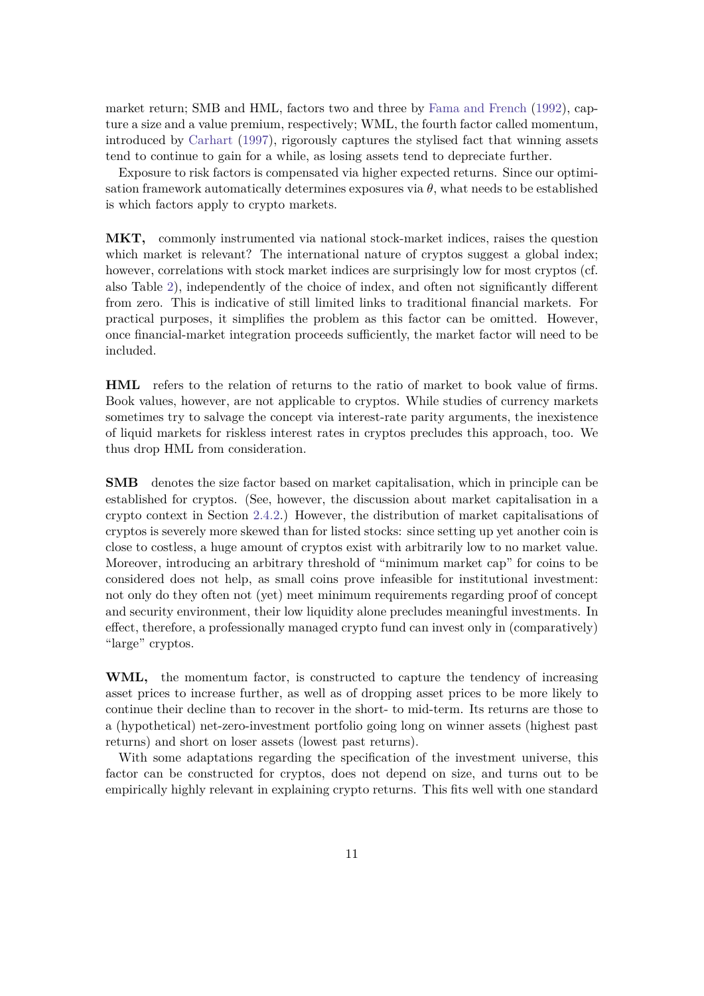market return; SMB and HML, factors two and three by [Fama and French](#page-19-9) [\(1992\)](#page-19-9), capture a size and a value premium, respectively; WML, the fourth factor called momentum, introduced by [Carhart](#page-19-10) [\(1997\)](#page-19-10), rigorously captures the stylised fact that winning assets tend to continue to gain for a while, as losing assets tend to depreciate further.

Exposure to risk factors is compensated via higher expected returns. Since our optimisation framework automatically determines exposures via  $\theta$ , what needs to be established is which factors apply to crypto markets.

**MKT,** commonly instrumented via national stock-market indices, raises the question which market is relevant? The international nature of cryptos suggest a global index; however, correlations with stock market indices are surprisingly low for most cryptos (cf. also Table [2\)](#page-7-0), independently of the choice of index, and often not significantly different from zero. This is indicative of still limited links to traditional financial markets. For practical purposes, it simplifies the problem as this factor can be omitted. However, once financial-market integration proceeds sufficiently, the market factor will need to be included.

**HML** refers to the relation of returns to the ratio of market to book value of firms. Book values, however, are not applicable to cryptos. While studies of currency markets sometimes try to salvage the concept via interest-rate parity arguments, the inexistence of liquid markets for riskless interest rates in cryptos precludes this approach, too. We thus drop HML from consideration.

**SMB** denotes the size factor based on market capitalisation, which in principle can be established for cryptos. (See, however, the discussion about market capitalisation in a crypto context in Section [2.4.2.](#page-12-0)) However, the distribution of market capitalisations of cryptos is severely more skewed than for listed stocks: since setting up yet another coin is close to costless, a huge amount of cryptos exist with arbitrarily low to no market value. Moreover, introducing an arbitrary threshold of "minimum market cap" for coins to be considered does not help, as small coins prove infeasible for institutional investment: not only do they often not (yet) meet minimum requirements regarding proof of concept and security environment, their low liquidity alone precludes meaningful investments. In effect, therefore, a professionally managed crypto fund can invest only in (comparatively) "large" cryptos.

**WML,** the momentum factor, is constructed to capture the tendency of increasing asset prices to increase further, as well as of dropping asset prices to be more likely to continue their decline than to recover in the short- to mid-term. Its returns are those to a (hypothetical) net-zero-investment portfolio going long on winner assets (highest past returns) and short on loser assets (lowest past returns).

With some adaptations regarding the specification of the investment universe, this factor can be constructed for cryptos, does not depend on size, and turns out to be empirically highly relevant in explaining crypto returns. This fits well with one standard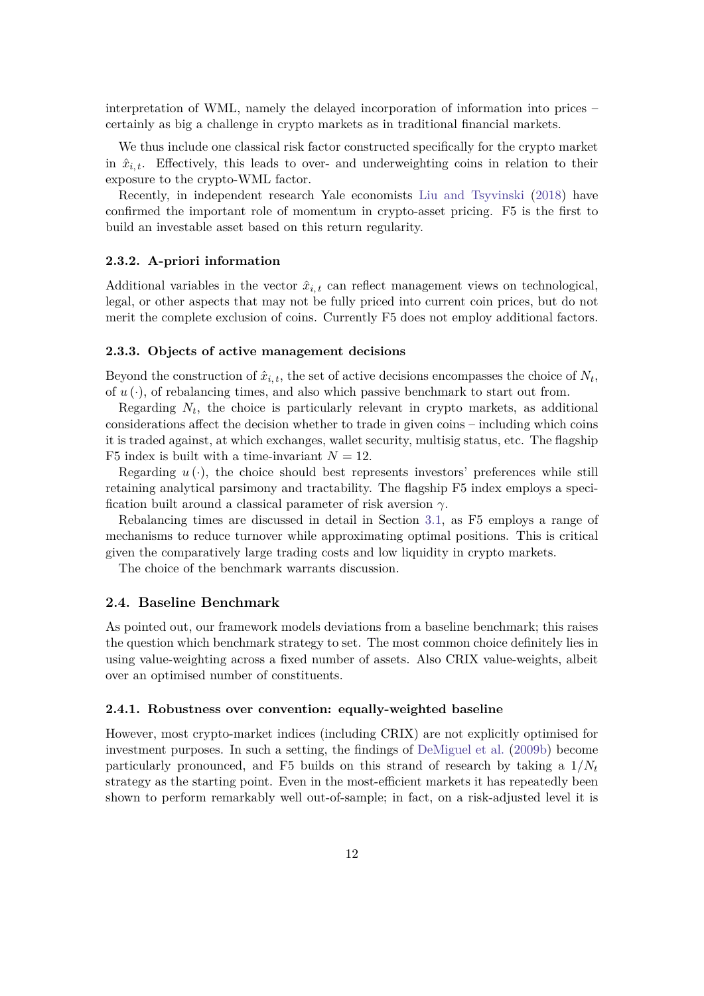interpretation of WML, namely the delayed incorporation of information into prices – certainly as big a challenge in crypto markets as in traditional financial markets.

We thus include one classical risk factor constructed specifically for the crypto market in  $\hat{x}_{i,t}$ . Effectively, this leads to over- and underweighting coins in relation to their exposure to the crypto-WML factor.

Recently, in independent research Yale economists [Liu and Tsyvinski](#page-20-8) [\(2018\)](#page-20-8) have confirmed the important role of momentum in crypto-asset pricing. F5 is the first to build an investable asset based on this return regularity.

#### <span id="page-11-0"></span>**2.3.2. A-priori information**

Additional variables in the vector  $\hat{x}_{i,t}$  can reflect management views on technological, legal, or other aspects that may not be fully priced into current coin prices, but do not merit the complete exclusion of coins. Currently F5 does not employ additional factors.

#### <span id="page-11-1"></span>**2.3.3. Objects of active management decisions**

Beyond the construction of  $\hat{x}_{i,t}$ , the set of active decisions encompasses the choice of  $N_t$ , of  $u(\cdot)$ , of rebalancing times, and also which passive benchmark to start out from.

Regarding  $N_t$ , the choice is particularly relevant in crypto markets, as additional considerations affect the decision whether to trade in given coins – including which coins it is traded against, at which exchanges, wallet security, multisig status, etc. The flagship F5 index is built with a time-invariant  $N = 12$ .

Regarding  $u(\cdot)$ , the choice should best represents investors' preferences while still retaining analytical parsimony and tractability. The flagship F5 index employs a specification built around a classical parameter of risk aversion *γ*.

Rebalancing times are discussed in detail in Section [3.1,](#page-15-0) as F5 employs a range of mechanisms to reduce turnover while approximating optimal positions. This is critical given the comparatively large trading costs and low liquidity in crypto markets.

The choice of the benchmark warrants discussion.

#### <span id="page-11-2"></span>**2.4. Baseline Benchmark**

As pointed out, our framework models deviations from a baseline benchmark; this raises the question which benchmark strategy to set. The most common choice definitely lies in using value-weighting across a fixed number of assets. Also CRIX value-weights, albeit over an optimised number of constituents.

#### <span id="page-11-3"></span>**2.4.1. Robustness over convention: equally-weighted baseline**

However, most crypto-market indices (including CRIX) are not explicitly optimised for investment purposes. In such a setting, the findings of [DeMiguel et al.](#page-19-7) [\(2009b\)](#page-19-7) become particularly pronounced, and F5 builds on this strand of research by taking a 1/*N<sup>t</sup>* strategy as the starting point. Even in the most-efficient markets it has repeatedly been shown to perform remarkably well out-of-sample; in fact, on a risk-adjusted level it is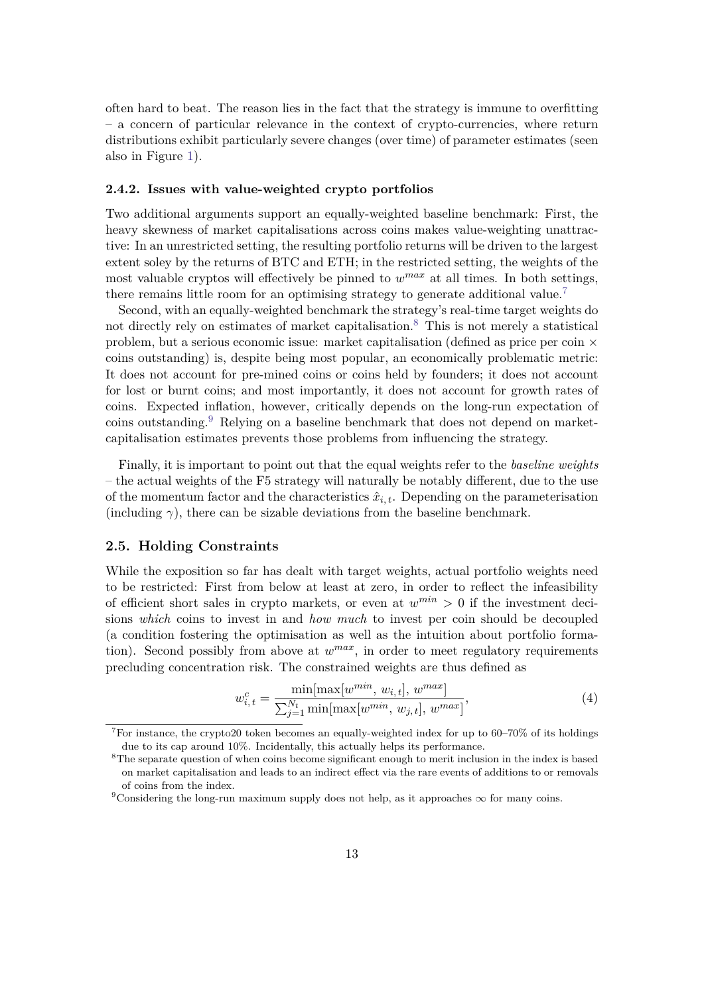often hard to beat. The reason lies in the fact that the strategy is immune to overfitting – a concern of particular relevance in the context of crypto-currencies, where return distributions exhibit particularly severe changes (over time) of parameter estimates (seen also in Figure [1\)](#page-8-0).

#### <span id="page-12-0"></span>**2.4.2. Issues with value-weighted crypto portfolios**

Two additional arguments support an equally-weighted baseline benchmark: First, the heavy skewness of market capitalisations across coins makes value-weighting unattractive: In an unrestricted setting, the resulting portfolio returns will be driven to the largest extent soley by the returns of BTC and ETH; in the restricted setting, the weights of the most valuable cryptos will effectively be pinned to  $w^{max}$  at all times. In both settings, there remains little room for an optimising strategy to generate additional value.<sup>[7](#page-12-2)</sup>

Second, with an equally-weighted benchmark the strategy's real-time target weights do not directly rely on estimates of market capitalisation.<sup>[8](#page-12-3)</sup> This is not merely a statistical problem, but a serious economic issue: market capitalisation (defined as price per coin × coins outstanding) is, despite being most popular, an economically problematic metric: It does not account for pre-mined coins or coins held by founders; it does not account for lost or burnt coins; and most importantly, it does not account for growth rates of coins. Expected inflation, however, critically depends on the long-run expectation of coins outstanding.<sup>[9](#page-12-4)</sup> Relying on a baseline benchmark that does not depend on marketcapitalisation estimates prevents those problems from influencing the strategy.

Finally, it is important to point out that the equal weights refer to the *baseline weights* – the actual weights of the F5 strategy will naturally be notably different, due to the use of the momentum factor and the characteristics  $\hat{x}_{i,t}$ . Depending on the parameterisation (including  $\gamma$ ), there can be sizable deviations from the baseline benchmark.

#### <span id="page-12-1"></span>**2.5. Holding Constraints**

While the exposition so far has dealt with target weights, actual portfolio weights need to be restricted: First from below at least at zero, in order to reflect the infeasibility of efficient short sales in crypto markets, or even at  $w^{min} > 0$  if the investment decisions *which* coins to invest in and *how much* to invest per coin should be decoupled (a condition fostering the optimisation as well as the intuition about portfolio formation). Second possibly from above at  $w^{max}$ , in order to meet regulatory requirements precluding concentration risk. The constrained weights are thus defined as

$$
w_{i,t}^c = \frac{\min[\max[w^{min}, w_{i,t}], w^{max}]}{\sum_{j=1}^{N_t} \min[\max[w^{min}, w_{j,t}], w^{max}]},
$$
\n(4)

<span id="page-12-2"></span><sup>7</sup>For instance, the crypto20 token becomes an equally-weighted index for up to 60–70% of its holdings due to its cap around 10%. Incidentally, this actually helps its performance.

<span id="page-12-3"></span><sup>&</sup>lt;sup>8</sup>The separate question of when coins become significant enough to merit inclusion in the index is based on market capitalisation and leads to an indirect effect via the rare events of additions to or removals of coins from the index.

<span id="page-12-4"></span><sup>&</sup>lt;sup>9</sup>Considering the long-run maximum supply does not help, as it approaches  $\infty$  for many coins.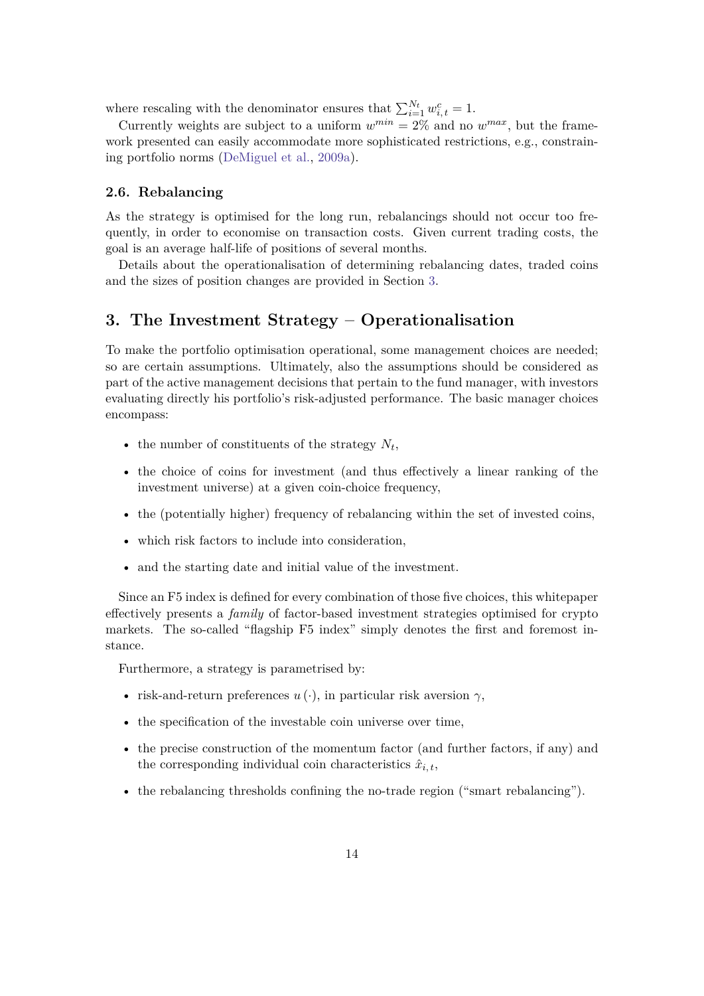where rescaling with the denominator ensures that  $\sum_{i=1}^{N_t} w_{i,t}^c = 1$ .

Currently weights are subject to a uniform  $w^{min} = 2\%$  and no  $w^{max}$ , but the framework presented can easily accommodate more sophisticated restrictions, e.g., constraining portfolio norms [\(DeMiguel et al.,](#page-19-11) [2009a\)](#page-19-11).

#### <span id="page-13-0"></span>**2.6. Rebalancing**

As the strategy is optimised for the long run, rebalancings should not occur too frequently, in order to economise on transaction costs. Given current trading costs, the goal is an average half-life of positions of several months.

Details about the operationalisation of determining rebalancing dates, traded coins and the sizes of position changes are provided in Section [3.](#page-13-1)

## <span id="page-13-1"></span>**3. The Investment Strategy – Operationalisation**

To make the portfolio optimisation operational, some management choices are needed; so are certain assumptions. Ultimately, also the assumptions should be considered as part of the active management decisions that pertain to the fund manager, with investors evaluating directly his portfolio's risk-adjusted performance. The basic manager choices encompass:

- the number of constituents of the strategy  $N_t$ ,
- the choice of coins for investment (and thus effectively a linear ranking of the investment universe) at a given coin-choice frequency,
- the (potentially higher) frequency of rebalancing within the set of invested coins,
- which risk factors to include into consideration,
- and the starting date and initial value of the investment.

Since an F5 index is defined for every combination of those five choices, this whitepaper effectively presents a *family* of factor-based investment strategies optimised for crypto markets. The so-called "flagship F5 index" simply denotes the first and foremost instance.

Furthermore, a strategy is parametrised by:

- risk-and-return preferences  $u(\cdot)$ , in particular risk aversion  $\gamma$ ,
- the specification of the investable coin universe over time,
- the precise construction of the momentum factor (and further factors, if any) and the corresponding individual coin characteristics  $\hat{x}_{i,t}$ ,
- the rebalancing thresholds confining the no-trade region ("smart rebalancing").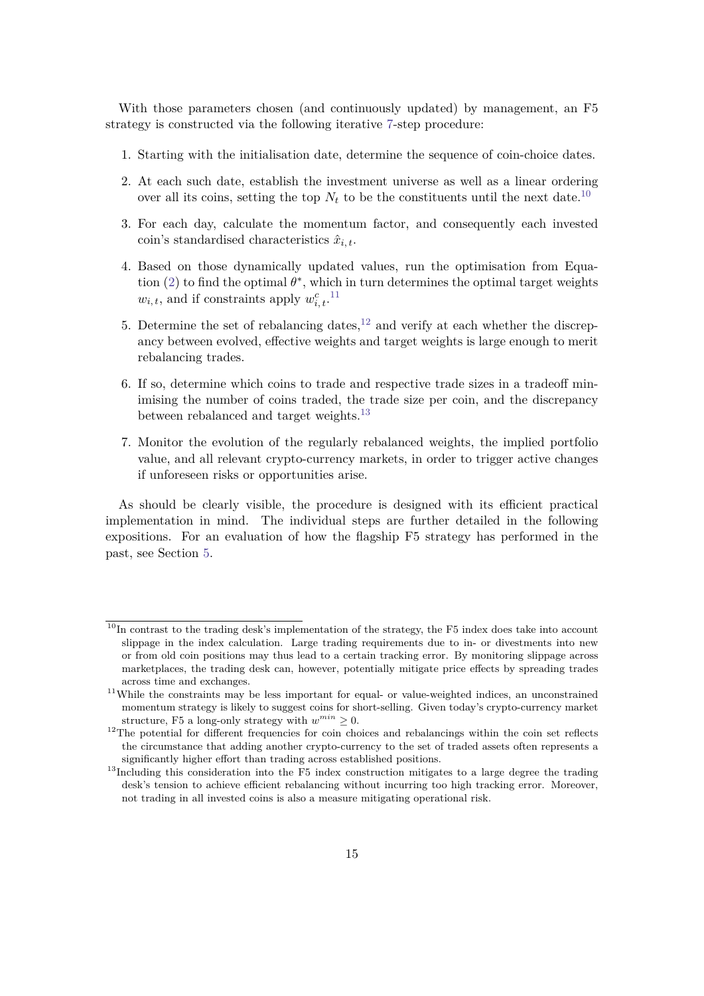With those parameters chosen (and continuously updated) by management, an F5 strategy is constructed via the following iterative [7-](#page-14-0)step procedure:

- 1. Starting with the initialisation date, determine the sequence of coin-choice dates.
- 2. At each such date, establish the investment universe as well as a linear ordering over all its coins, setting the top  $N_t$  to be the constituents until the next date.<sup>[10](#page-14-1)</sup>
- 3. For each day, calculate the momentum factor, and consequently each invested coin's standardised characteristics  $\hat{x}_{i,t}$ .
- 4. Based on those dynamically updated values, run the optimisation from Equation  $(2)$  to find the optimal  $\theta^*$ , which in turn determines the optimal target weights  $w_{i,t}$ , and if constraints apply  $w_{i,t}^c$ .<sup>[11](#page-14-2)</sup>
- 5. Determine the set of rebalancing dates,  $12$  and verify at each whether the discrepancy between evolved, effective weights and target weights is large enough to merit rebalancing trades.
- 6. If so, determine which coins to trade and respective trade sizes in a tradeoff minimising the number of coins traded, the trade size per coin, and the discrepancy between rebalanced and target weights.<sup>[13](#page-14-4)</sup>
- <span id="page-14-0"></span>7. Monitor the evolution of the regularly rebalanced weights, the implied portfolio value, and all relevant crypto-currency markets, in order to trigger active changes if unforeseen risks or opportunities arise.

As should be clearly visible, the procedure is designed with its efficient practical implementation in mind. The individual steps are further detailed in the following expositions. For an evaluation of how the flagship F5 strategy has performed in the past, see Section [5.](#page-16-0)

<span id="page-14-1"></span> $10$ In contrast to the trading desk's implementation of the strategy, the F5 index does take into account slippage in the index calculation. Large trading requirements due to in- or divestments into new or from old coin positions may thus lead to a certain tracking error. By monitoring slippage across marketplaces, the trading desk can, however, potentially mitigate price effects by spreading trades across time and exchanges.

<span id="page-14-2"></span><sup>&</sup>lt;sup>11</sup>While the constraints may be less important for equal- or value-weighted indices, an unconstrained momentum strategy is likely to suggest coins for short-selling. Given today's crypto-currency market structure, F5 a long-only strategy with  $w^{min} \geq 0$ .

<span id="page-14-3"></span><sup>&</sup>lt;sup>12</sup>The potential for different frequencies for coin choices and rebalancings within the coin set reflects the circumstance that adding another crypto-currency to the set of traded assets often represents a significantly higher effort than trading across established positions.

<span id="page-14-4"></span><sup>&</sup>lt;sup>13</sup>Including this consideration into the F5 index construction mitigates to a large degree the trading desk's tension to achieve efficient rebalancing without incurring too high tracking error. Moreover, not trading in all invested coins is also a measure mitigating operational risk.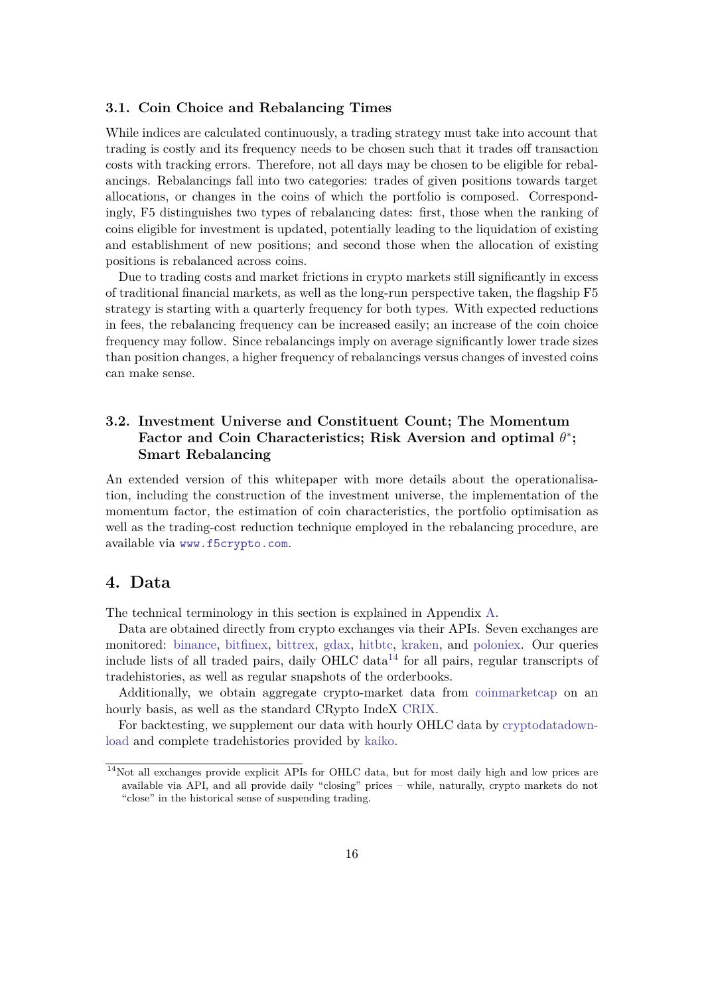#### <span id="page-15-0"></span>**3.1. Coin Choice and Rebalancing Times**

While indices are calculated continuously, a trading strategy must take into account that trading is costly and its frequency needs to be chosen such that it trades off transaction costs with tracking errors. Therefore, not all days may be chosen to be eligible for rebalancings. Rebalancings fall into two categories: trades of given positions towards target allocations, or changes in the coins of which the portfolio is composed. Correspondingly, F5 distinguishes two types of rebalancing dates: first, those when the ranking of coins eligible for investment is updated, potentially leading to the liquidation of existing and establishment of new positions; and second those when the allocation of existing positions is rebalanced across coins.

Due to trading costs and market frictions in crypto markets still significantly in excess of traditional financial markets, as well as the long-run perspective taken, the flagship F5 strategy is starting with a quarterly frequency for both types. With expected reductions in fees, the rebalancing frequency can be increased easily; an increase of the coin choice frequency may follow. Since rebalancings imply on average significantly lower trade sizes than position changes, a higher frequency of rebalancings versus changes of invested coins can make sense.

## <span id="page-15-1"></span>**3.2. Investment Universe and Constituent Count; The Momentum Factor and Coin Characteristics; Risk Aversion and optimal** *θ* ∗ **; Smart Rebalancing**

An extended version of this whitepaper with more details about the operationalisation, including the construction of the investment universe, the implementation of the momentum factor, the estimation of coin characteristics, the portfolio optimisation as well as the trading-cost reduction technique employed in the rebalancing procedure, are available via <www.f5crypto.com>.

## <span id="page-15-2"></span>**4. Data**

The technical terminology in this section is explained in Appendix [A.](#page-21-0)

Data are obtained directly from crypto exchanges via their APIs. Seven exchanges are monitored: [binance,](https://www.binance.com) [bitfinex,](https://www.bitfinex.com) [bittrex,](https://www.bittrex.com) [gdax,](https://www.gdax.com) [hitbtc,](https://www.hitbtc.com) [kraken,](https://www.kraken.com) and [poloniex.](https://www.poloniex.com) Our queries include lists of all traded pairs, daily OHLC data<sup>[14](#page-15-3)</sup> for all pairs, regular transcripts of tradehistories, as well as regular snapshots of the orderbooks.

Additionally, we obtain aggregate crypto-market data from [coinmarketcap](https://coinmarketcap.com) on an hourly basis, as well as the standard CRypto IndeX [CRIX.](https://crix.hu-berlin.de)

For backtesting, we supplement our data with hourly OHLC data by [cryptodatadown](https://www.cryptodatadownload.com)[load](https://www.cryptodatadownload.com) and complete tradehistories provided by [kaiko.](https://www.kaiko.com)

<span id="page-15-3"></span><sup>&</sup>lt;sup>14</sup>Not all exchanges provide explicit APIs for OHLC data, but for most daily high and low prices are available via API, and all provide daily "closing" prices – while, naturally, crypto markets do not "close" in the historical sense of suspending trading.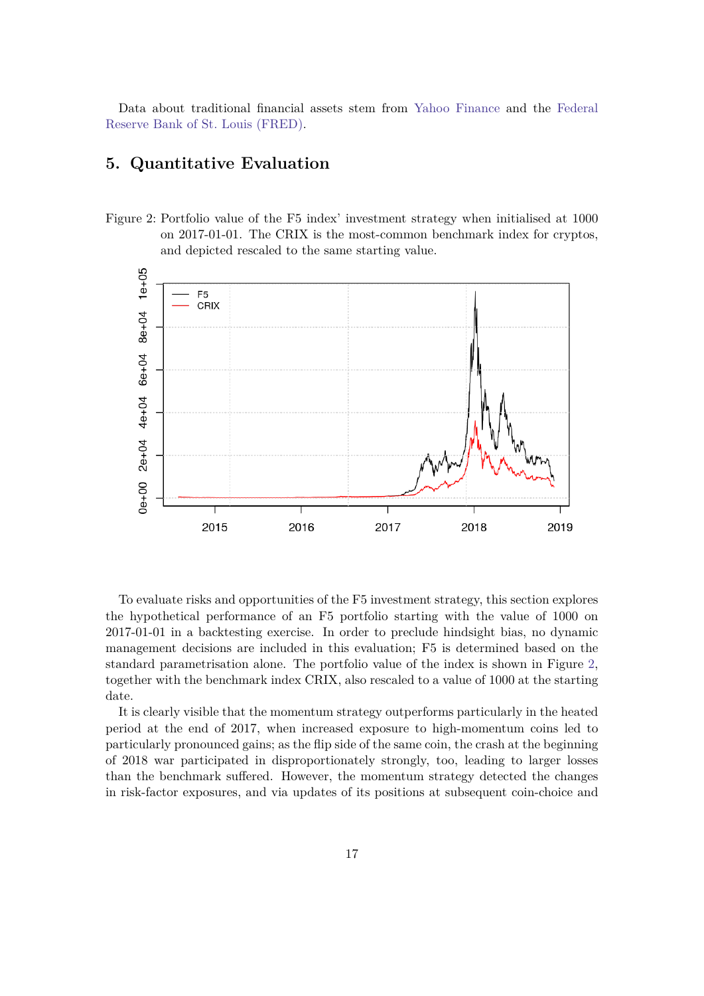Data about traditional financial assets stem from [Yahoo Finance](https://finance.yahoo.com) and the [Federal](https://fred.stlouisfed.org/) [Reserve Bank of St. Louis \(FRED\).](https://fred.stlouisfed.org/)

## <span id="page-16-0"></span>**5. Quantitative Evaluation**

<span id="page-16-1"></span>Figure 2: Portfolio value of the F5 index' investment strategy when initialised at 1000 on 2017-01-01. The CRIX is the most-common benchmark index for cryptos, and depicted rescaled to the same starting value.



To evaluate risks and opportunities of the F5 investment strategy, this section explores the hypothetical performance of an F5 portfolio starting with the value of 1000 on 2017-01-01 in a backtesting exercise. In order to preclude hindsight bias, no dynamic management decisions are included in this evaluation; F5 is determined based on the standard parametrisation alone. The portfolio value of the index is shown in Figure [2,](#page-16-1) together with the benchmark index CRIX, also rescaled to a value of 1000 at the starting date.

It is clearly visible that the momentum strategy outperforms particularly in the heated period at the end of 2017, when increased exposure to high-momentum coins led to particularly pronounced gains; as the flip side of the same coin, the crash at the beginning of 2018 war participated in disproportionately strongly, too, leading to larger losses than the benchmark suffered. However, the momentum strategy detected the changes in risk-factor exposures, and via updates of its positions at subsequent coin-choice and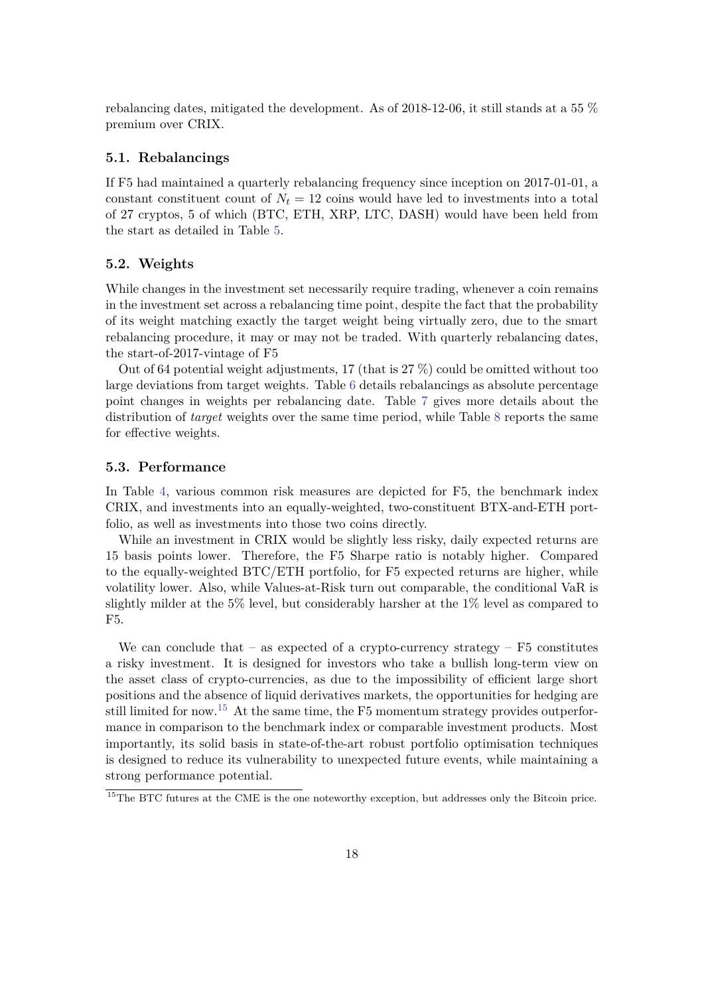rebalancing dates, mitigated the development. As of 2018-12-06, it still stands at a 55 % premium over CRIX.

#### <span id="page-17-0"></span>**5.1. Rebalancings**

If F5 had maintained a quarterly rebalancing frequency since inception on 2017-01-01, a constant constituent count of  $N_t = 12$  coins would have led to investments into a total of 27 cryptos, 5 of which (BTC, ETH, XRP, LTC, DASH) would have been held from the start as detailed in Table [5.](#page-22-1)

#### <span id="page-17-1"></span>**5.2. Weights**

While changes in the investment set necessarily require trading, whenever a coin remains in the investment set across a rebalancing time point, despite the fact that the probability of its weight matching exactly the target weight being virtually zero, due to the smart rebalancing procedure, it may or may not be traded. With quarterly rebalancing dates, the start-of-2017-vintage of F5

Out of 64 potential weight adjustments, 17 (that is  $27\%$ ) could be omitted without too large deviations from target weights. Table [6](#page-23-0) details rebalancings as absolute percentage point changes in weights per rebalancing date. Table [7](#page-24-0) gives more details about the distribution of *target* weights over the same time period, while Table [8](#page-25-0) reports the same for effective weights.

#### <span id="page-17-2"></span>**5.3. Performance**

In Table [4,](#page-18-1) various common risk measures are depicted for F5, the benchmark index CRIX, and investments into an equally-weighted, two-constituent BTX-and-ETH portfolio, as well as investments into those two coins directly.

While an investment in CRIX would be slightly less risky, daily expected returns are 15 basis points lower. Therefore, the F5 Sharpe ratio is notably higher. Compared to the equally-weighted BTC/ETH portfolio, for F5 expected returns are higher, while volatility lower. Also, while Values-at-Risk turn out comparable, the conditional VaR is slightly milder at the 5% level, but considerably harsher at the 1% level as compared to F5.

We can conclude that – as expected of a crypto-currency strategy –  $F5$  constitutes a risky investment. It is designed for investors who take a bullish long-term view on the asset class of crypto-currencies, as due to the impossibility of efficient large short positions and the absence of liquid derivatives markets, the opportunities for hedging are still limited for now.<sup>[15](#page-17-3)</sup> At the same time, the F5 momentum strategy provides outperformance in comparison to the benchmark index or comparable investment products. Most importantly, its solid basis in state-of-the-art robust portfolio optimisation techniques is designed to reduce its vulnerability to unexpected future events, while maintaining a strong performance potential.

<span id="page-17-3"></span><sup>&</sup>lt;sup>15</sup>The BTC futures at the CME is the one noteworthy exception, but addresses only the Bitcoin price.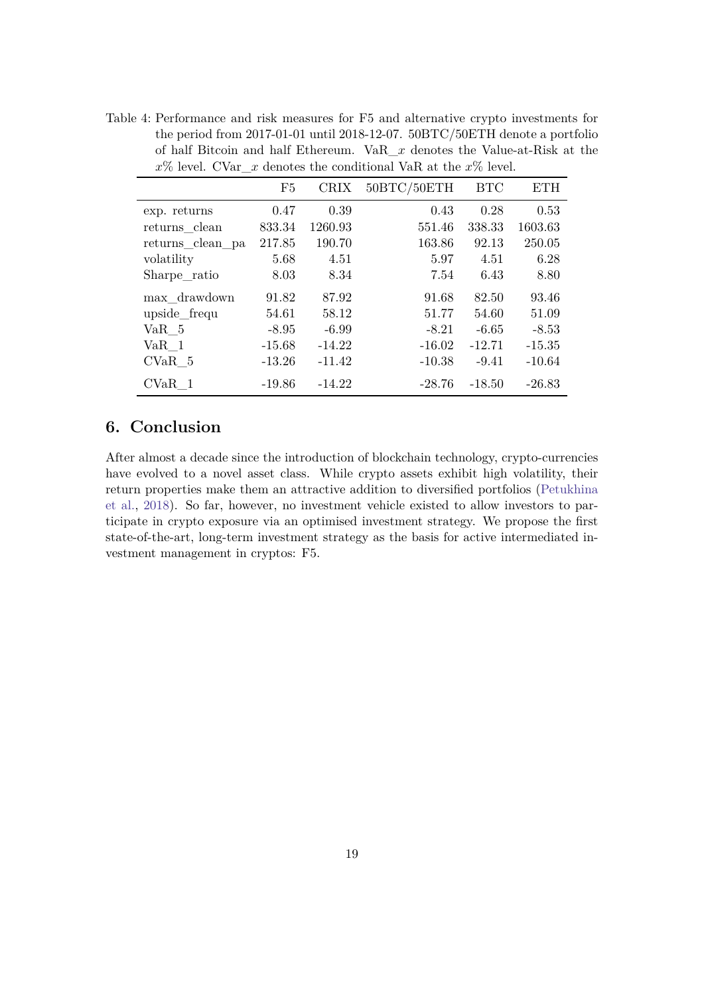<span id="page-18-1"></span>Table 4: Performance and risk measures for F5 and alternative crypto investments for the period from 2017-01-01 until 2018-12-07. 50BTC/50ETH denote a portfolio of half Bitcoin and half Ethereum. VaR\_*x* denotes the Value-at-Risk at the  $x\%$  level. CVar  $x$  denotes the conditional VaR at the  $x\%$  level.

|                   | F5       | <b>CRIX</b> | 50BTC/50ETH | <b>BTC</b> | <b>ETH</b> |
|-------------------|----------|-------------|-------------|------------|------------|
| exp. returns      | 0.47     | 0.39        | 0.43        | 0.28       | 0.53       |
| returns clean     | 833.34   | 1260.93     | 551.46      | 338.33     | 1603.63    |
| returns_clean_pa  | 217.85   | 190.70      | 163.86      | 92.13      | 250.05     |
| volatility        | 5.68     | 4.51        | 5.97        | 4.51       | 6.28       |
| Sharpe ratio      | 8.03     | 8.34        | 7.54        | 6.43       | 8.80       |
| max drawdown      | 91.82    | 87.92       | 91.68       | 82.50      | 93.46      |
| upside_frequ      | 54.61    | 58.12       | 51.77       | 54.60      | 51.09      |
| VaR 5             | $-8.95$  | $-6.99$     | $-8.21$     | $-6.65$    | $-8.53$    |
| VaR 1             | $-15.68$ | $-14.22$    | $-16.02$    | $-12.71$   | $-15.35$   |
| CVaR 5            | $-13.26$ | $-11.42$    | $-10.38$    | $-9.41$    | $-10.64$   |
| CVaR <sub>1</sub> | $-19.86$ | $-14.22$    | $-28.76$    | $-18.50$   | $-26.83$   |

## <span id="page-18-0"></span>**6. Conclusion**

After almost a decade since the introduction of blockchain technology, crypto-currencies have evolved to a novel asset class. While crypto assets exhibit high volatility, their return properties make them an attractive addition to diversified portfolios [\(Petukhina](#page-20-9) [et al.,](#page-20-9) [2018\)](#page-20-9). So far, however, no investment vehicle existed to allow investors to participate in crypto exposure via an optimised investment strategy. We propose the first state-of-the-art, long-term investment strategy as the basis for active intermediated investment management in cryptos: F5.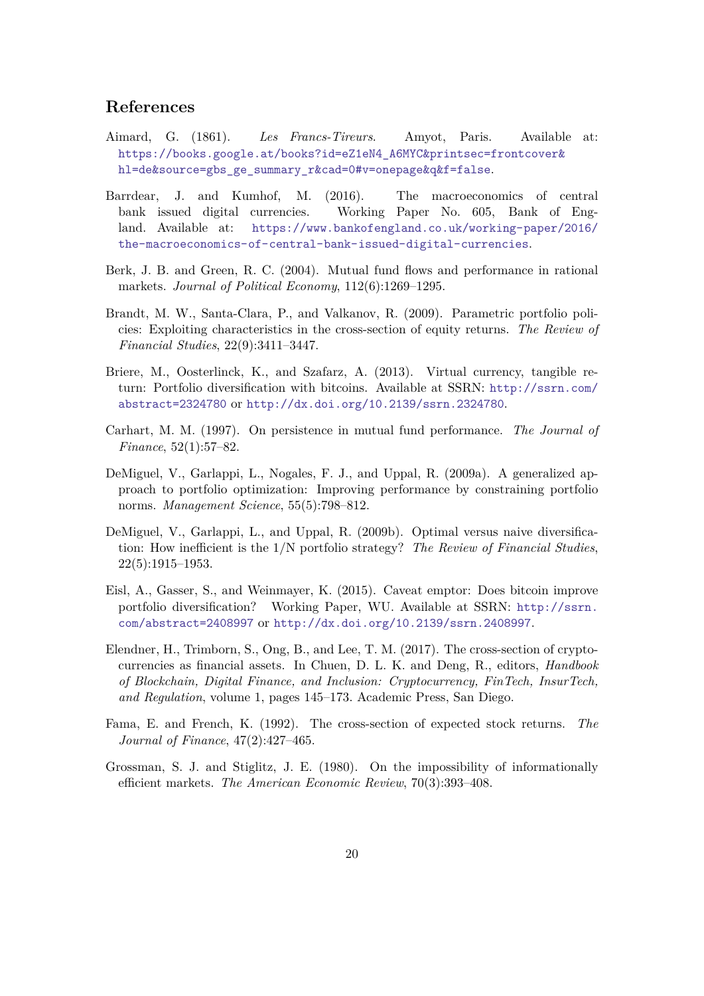### **References**

- <span id="page-19-2"></span>Aimard, G. (1861). *Les Francs-Tireurs*. Amyot, Paris. Available at: [https://books.google.at/books?id=eZ1eN4\\_A6MYC&printsec=frontcover&](https://books.google.at/books?id=eZ1eN4_A6MYC&printsec=frontcover&hl=de&source=gbs_ge_summary_r&cad=0#v=onepage&q&f=false) [hl=de&source=gbs\\_ge\\_summary\\_r&cad=0#v=onepage&q&f=false](https://books.google.at/books?id=eZ1eN4_A6MYC&printsec=frontcover&hl=de&source=gbs_ge_summary_r&cad=0#v=onepage&q&f=false).
- <span id="page-19-3"></span>Barrdear, J. and Kumhof, M. (2016). The macroeconomics of central bank issued digital currencies. Working Paper No. 605, Bank of England. Available at: [https://www.bankofengland.co.uk/working-paper/2016/](https://www.bankofengland.co.uk/working-paper/2016/the-macroeconomics-of-central-bank-issued-digital-currencies) [the-macroeconomics-of-central-bank-issued-digital-currencies](https://www.bankofengland.co.uk/working-paper/2016/the-macroeconomics-of-central-bank-issued-digital-currencies).
- <span id="page-19-4"></span>Berk, J. B. and Green, R. C. (2004). Mutual fund flows and performance in rational markets. *Journal of Political Economy*, 112(6):1269–1295.
- <span id="page-19-8"></span>Brandt, M. W., Santa-Clara, P., and Valkanov, R. (2009). Parametric portfolio policies: Exploiting characteristics in the cross-section of equity returns. *The Review of Financial Studies*, 22(9):3411–3447.
- <span id="page-19-0"></span>Briere, M., Oosterlinck, K., and Szafarz, A. (2013). Virtual currency, tangible return: Portfolio diversification with bitcoins. Available at SSRN: [http://ssrn.com/](http://ssrn.com/abstract=2324780) [abstract=2324780](http://ssrn.com/abstract=2324780) or <http://dx.doi.org/10.2139/ssrn.2324780>.
- <span id="page-19-10"></span>Carhart, M. M. (1997). On persistence in mutual fund performance. *The Journal of Finance*, 52(1):57–82.
- <span id="page-19-11"></span>DeMiguel, V., Garlappi, L., Nogales, F. J., and Uppal, R. (2009a). A generalized approach to portfolio optimization: Improving performance by constraining portfolio norms. *Management Science*, 55(5):798–812.
- <span id="page-19-7"></span>DeMiguel, V., Garlappi, L., and Uppal, R. (2009b). Optimal versus naive diversification: How inefficient is the 1/N portfolio strategy? *The Review of Financial Studies*, 22(5):1915–1953.
- <span id="page-19-1"></span>Eisl, A., Gasser, S., and Weinmayer, K. (2015). Caveat emptor: Does bitcoin improve portfolio diversification? Working Paper, WU. Available at SSRN: [http://ssrn.](http://ssrn.com/abstract=2408997) [com/abstract=2408997](http://ssrn.com/abstract=2408997) or <http://dx.doi.org/10.2139/ssrn.2408997>.
- <span id="page-19-6"></span>Elendner, H., Trimborn, S., Ong, B., and Lee, T. M. (2017). The cross-section of cryptocurrencies as financial assets. In Chuen, D. L. K. and Deng, R., editors, *Handbook of Blockchain, Digital Finance, and Inclusion: Cryptocurrency, FinTech, InsurTech, and Regulation*, volume 1, pages 145–173. Academic Press, San Diego.
- <span id="page-19-9"></span>Fama, E. and French, K. (1992). The cross-section of expected stock returns. *The Journal of Finance*, 47(2):427–465.
- <span id="page-19-5"></span>Grossman, S. J. and Stiglitz, J. E. (1980). On the impossibility of informationally efficient markets. *The American Economic Review*, 70(3):393–408.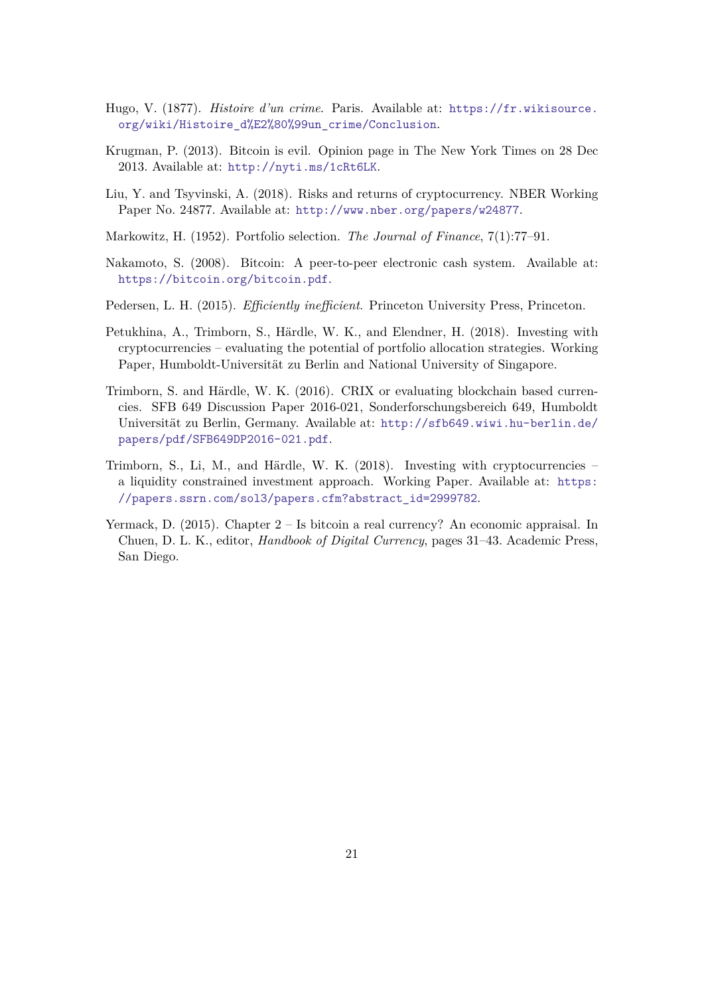- <span id="page-20-1"></span>Hugo, V. (1877). *Histoire d'un crime*. Paris. Available at: [https://fr.wikisource.](https://fr.wikisource.org/wiki/Histoire_d%E2%80%99un_crime/Conclusion) [org/wiki/Histoire\\_d%E2%80%99un\\_crime/Conclusion](https://fr.wikisource.org/wiki/Histoire_d%E2%80%99un_crime/Conclusion).
- <span id="page-20-3"></span>Krugman, P. (2013). Bitcoin is evil. Opinion page in The New York Times on 28 Dec 2013. Available at: <http://nyti.ms/1cRt6LK>.
- <span id="page-20-8"></span>Liu, Y. and Tsyvinski, A. (2018). Risks and returns of cryptocurrency. NBER Working Paper No. 24877. Available at: <http://www.nber.org/papers/w24877>.
- <span id="page-20-7"></span>Markowitz, H. (1952). Portfolio selection. *The Journal of Finance*, 7(1):77–91.
- <span id="page-20-0"></span>Nakamoto, S. (2008). Bitcoin: A peer-to-peer electronic cash system. Available at: <https://bitcoin.org/bitcoin.pdf>.
- <span id="page-20-6"></span>Pedersen, L. H. (2015). *Efficiently inefficient*. Princeton University Press, Princeton.
- <span id="page-20-9"></span>Petukhina, A., Trimborn, S., Härdle, W. K., and Elendner, H. (2018). Investing with cryptocurrencies – evaluating the potential of portfolio allocation strategies. Working Paper, Humboldt-Universität zu Berlin and National University of Singapore.
- <span id="page-20-4"></span>Trimborn, S. and Härdle, W. K. (2016). CRIX or evaluating blockchain based currencies. SFB 649 Discussion Paper 2016-021, Sonderforschungsbereich 649, Humboldt Universität zu Berlin, Germany. Available at: [http://sfb649.wiwi.hu-berlin.de/](http://sfb649.wiwi.hu-berlin.de/papers/pdf/SFB649DP2016-021.pdf) [papers/pdf/SFB649DP2016-021.pdf](http://sfb649.wiwi.hu-berlin.de/papers/pdf/SFB649DP2016-021.pdf).
- <span id="page-20-5"></span>Trimborn, S., Li, M., and Härdle, W. K. (2018). Investing with cryptocurrencies – a liquidity constrained investment approach. Working Paper. Available at: [https:](https://papers.ssrn.com/sol3/papers.cfm?abstract_id=2999782) [//papers.ssrn.com/sol3/papers.cfm?abstract\\_id=2999782](https://papers.ssrn.com/sol3/papers.cfm?abstract_id=2999782).
- <span id="page-20-2"></span>Yermack, D. (2015). Chapter 2 – Is bitcoin a real currency? An economic appraisal. In Chuen, D. L. K., editor, *Handbook of Digital Currency*, pages 31–43. Academic Press, San Diego.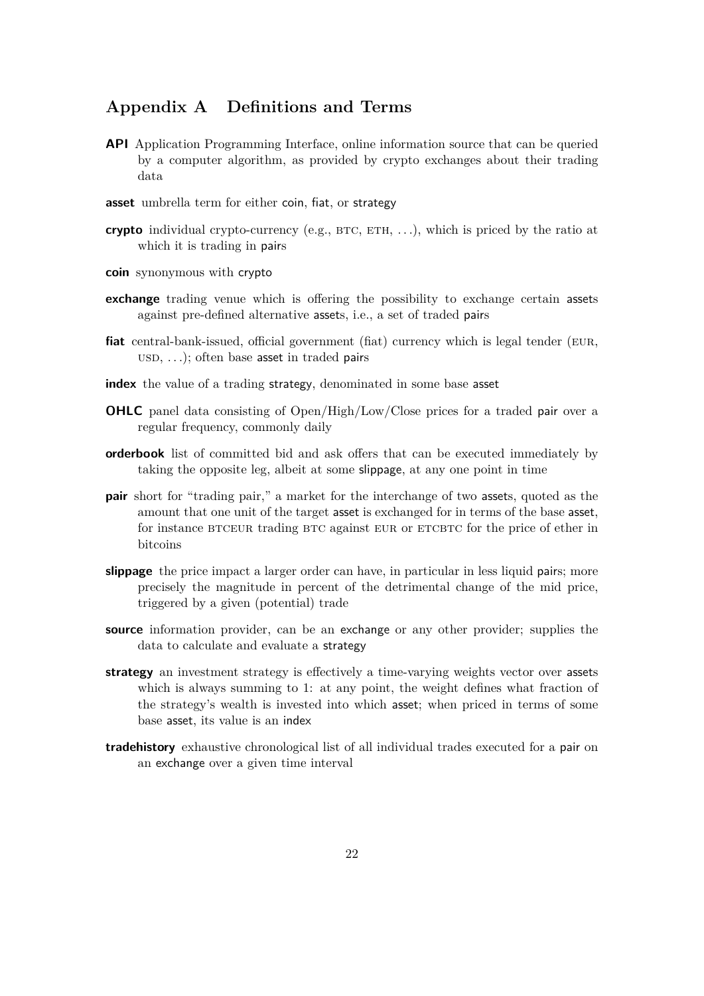## <span id="page-21-0"></span>**Appendix A Definitions and Terms**

- **API** Application Programming Interface, online information source that can be queried by a computer algorithm, as provided by crypto exchanges about their trading data
- **asset** umbrella term for either coin, fiat, or strategy
- **crypto** individual crypto-currency (e.g.,  $BTC$ ,  $ETH$ , ...), which is priced by the ratio at which it is trading in pairs
- **coin** synonymous with crypto
- **exchange** trading venue which is offering the possibility to exchange certain assets against pre-defined alternative assets, i.e., a set of traded pairs
- fiat central-bank-issued, official government (fiat) currency which is legal tender (EUR,  $USD, \ldots$ ; often base asset in traded pairs
- **index** the value of a trading strategy, denominated in some base asset
- **OHLC** panel data consisting of Open/High/Low/Close prices for a traded pair over a regular frequency, commonly daily
- **orderbook** list of committed bid and ask offers that can be executed immediately by taking the opposite leg, albeit at some slippage, at any one point in time
- **pair** short for "trading pair," a market for the interchange of two assets, quoted as the amount that one unit of the target asset is exchanged for in terms of the base asset, for instance BTCEUR trading BTC against EUR or ETCBTC for the price of ether in bitcoins
- **slippage** the price impact a larger order can have, in particular in less liquid pairs; more precisely the magnitude in percent of the detrimental change of the mid price, triggered by a given (potential) trade
- **source** information provider, can be an exchange or any other provider; supplies the data to calculate and evaluate a strategy
- **strategy** an investment strategy is effectively a time-varying weights vector over assets which is always summing to 1: at any point, the weight defines what fraction of the strategy's wealth is invested into which asset; when priced in terms of some base asset, its value is an index
- **tradehistory** exhaustive chronological list of all individual trades executed for a pair on an exchange over a given time interval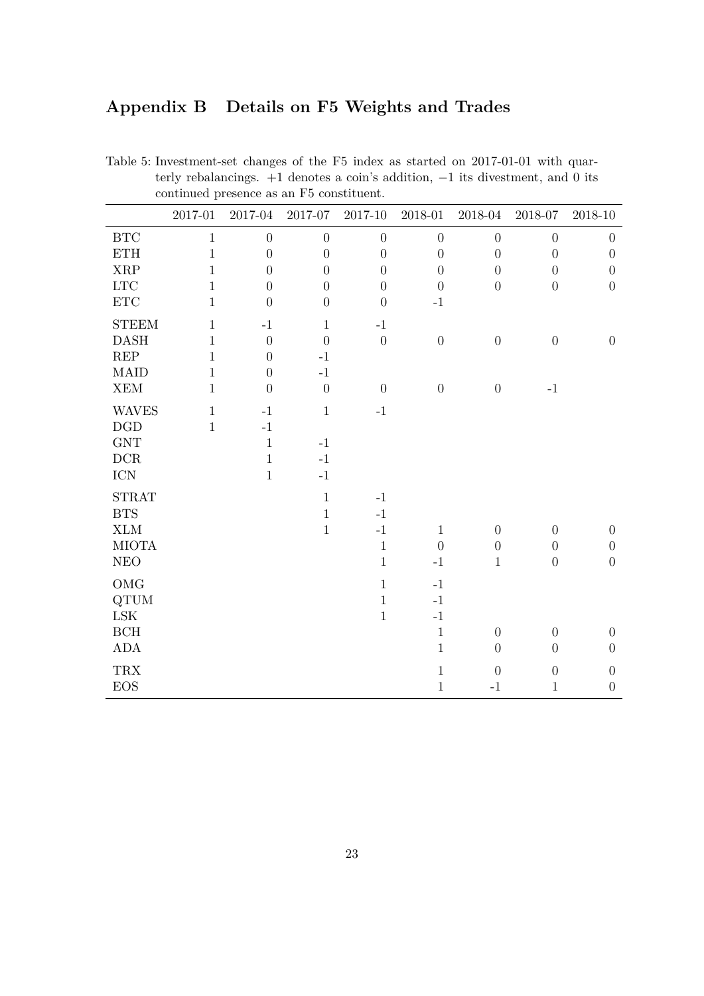## <span id="page-22-0"></span>**Appendix B Details on F5 Weights and Trades**

|                                                                         | 2017-01      | 2017-04          | $2017 - 07$      | $2017 - 10$      | $2018 - 01$      | 2018-04          | 2018-07          | 2018-10          |
|-------------------------------------------------------------------------|--------------|------------------|------------------|------------------|------------------|------------------|------------------|------------------|
| BTC                                                                     | $\mathbf{1}$ | $\boldsymbol{0}$ | $\boldsymbol{0}$ | $\boldsymbol{0}$ | $\boldsymbol{0}$ | $\boldsymbol{0}$ | $\overline{0}$   | $\boldsymbol{0}$ |
| <b>ETH</b>                                                              | $\mathbf{1}$ | $\boldsymbol{0}$ | $\boldsymbol{0}$ | $\boldsymbol{0}$ | $\boldsymbol{0}$ | $\overline{0}$   | $\overline{0}$   | $\boldsymbol{0}$ |
| <b>XRP</b>                                                              | $\mathbf{1}$ | $\boldsymbol{0}$ | $\overline{0}$   | $\overline{0}$   | $\overline{0}$   | $\overline{0}$   | $\boldsymbol{0}$ | $\boldsymbol{0}$ |
| $_{\rm{LTC}}$                                                           | $\mathbf{1}$ | $\overline{0}$   | $\overline{0}$   | $\overline{0}$   | $\boldsymbol{0}$ | $\overline{0}$   | $\overline{0}$   | $\boldsymbol{0}$ |
| $\operatorname{ETC}$                                                    | $\mathbf{1}$ | $\overline{0}$   | $\boldsymbol{0}$ | $\boldsymbol{0}$ | $^{\rm -1}$      |                  |                  |                  |
| <b>STEEM</b>                                                            | $\mathbf{1}$ | $-1$             | $\mathbf 1$      | $^{\rm -1}$      |                  |                  |                  |                  |
| <b>DASH</b>                                                             | $\mathbf{1}$ | $\overline{0}$   | $\overline{0}$   | $\boldsymbol{0}$ | $\boldsymbol{0}$ | $\boldsymbol{0}$ | $\boldsymbol{0}$ | $\boldsymbol{0}$ |
| $\ensuremath{\mathsf{R}}\ensuremath{\mathsf{E}}\ensuremath{\mathsf{P}}$ | $\mathbf{1}$ | $\boldsymbol{0}$ | $-1$             |                  |                  |                  |                  |                  |
| <b>MAID</b>                                                             | $\mathbf{1}$ | $\overline{0}$   | $^{\rm -1}$      |                  |                  |                  |                  |                  |
| XEM                                                                     | $\mathbf{1}$ | $\overline{0}$   | $\boldsymbol{0}$ | $\boldsymbol{0}$ | $\boldsymbol{0}$ | $\boldsymbol{0}$ | $^{\rm -1}$      |                  |
| <b>WAVES</b>                                                            | $\mathbf{1}$ | $-1$             | $\mathbf 1$      | $^{\rm -1}$      |                  |                  |                  |                  |
| $\operatorname{DGD}$                                                    | $\mathbf{1}$ | $-1$             |                  |                  |                  |                  |                  |                  |
| <b>GNT</b>                                                              |              | $\mathbf{1}$     | $-1$             |                  |                  |                  |                  |                  |
| $DCR$                                                                   |              | $\mathbf{1}$     | $^{\rm -1}$      |                  |                  |                  |                  |                  |
| $\rm{ICN}$                                                              |              | $\mathbf{1}$     | $^{\rm -1}$      |                  |                  |                  |                  |                  |
| <b>STRAT</b>                                                            |              |                  | $\,1\,$          | $^{\rm -1}$      |                  |                  |                  |                  |
| <b>BTS</b>                                                              |              |                  | $1\,$            | $-1$             |                  |                  |                  |                  |
| <b>XLM</b>                                                              |              |                  | $\mathbf 1$      | $^{\rm -1}$      | $\mathbf{1}$     | $\boldsymbol{0}$ | $\boldsymbol{0}$ | $\boldsymbol{0}$ |
| <b>MIOTA</b>                                                            |              |                  |                  | $\mathbf 1$      | $\overline{0}$   | $\boldsymbol{0}$ | $\boldsymbol{0}$ | $\boldsymbol{0}$ |
| $\rm{NEO}$                                                              |              |                  |                  | $\mathbf{1}$     | $-1$             | $\mathbf{1}$     | $\boldsymbol{0}$ | $\boldsymbol{0}$ |
| OMG                                                                     |              |                  |                  | $\mathbf{1}$     | $^{\rm -1}$      |                  |                  |                  |
| $\operatorname{QTUM}$                                                   |              |                  |                  | $\mathbf{1}$     | $^{\rm -1}$      |                  |                  |                  |
| $_{\rm LSK}$                                                            |              |                  |                  | $\mathbf{1}$     | $-1$             |                  |                  |                  |
| $\operatorname{BCH}$                                                    |              |                  |                  |                  | $\,1\,$          | $\boldsymbol{0}$ | $\boldsymbol{0}$ | $\boldsymbol{0}$ |
| $\mbox{ADA}$                                                            |              |                  |                  |                  | $\,1\,$          | $\overline{0}$   | $\boldsymbol{0}$ | $\boldsymbol{0}$ |
| <b>TRX</b>                                                              |              |                  |                  |                  | $\,1\,$          | $\boldsymbol{0}$ | $\boldsymbol{0}$ | $\boldsymbol{0}$ |
| <b>EOS</b>                                                              |              |                  |                  |                  | $\,1$            | $^{\rm -1}$      | $\mathbf{1}$     | $\boldsymbol{0}$ |

<span id="page-22-1"></span>Table 5: Investment-set changes of the F5 index as started on 2017-01-01 with quarterly rebalancings. +1 denotes a coin's addition, −1 its divestment, and 0 its continued presence as an F5 constituent.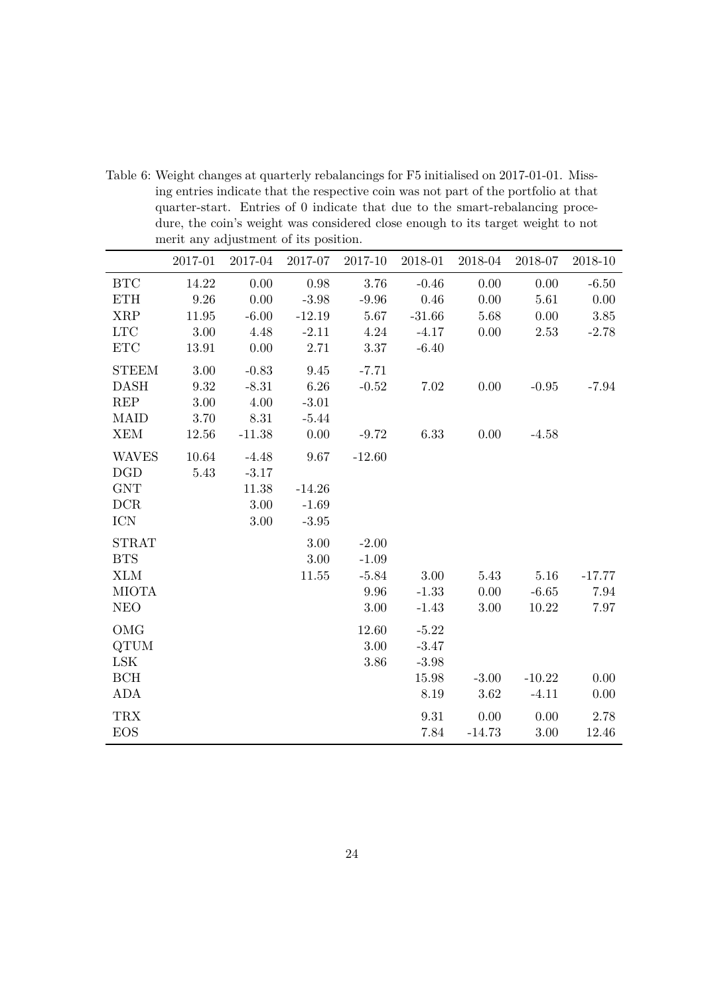|                             | 2017-01  | 2017-04  | 2017-07  | 2017-10  | 2018-01  | 2018-04  | 2018-07  | 2018-10  |
|-----------------------------|----------|----------|----------|----------|----------|----------|----------|----------|
| BTC                         | 14.22    | 0.00     | 0.98     | 3.76     | $-0.46$  | $0.00\,$ | $0.00\,$ | $-6.50$  |
| <b>ETH</b>                  | 9.26     | 0.00     | $-3.98$  | $-9.96$  | 0.46     | 0.00     | 5.61     | 0.00     |
| <b>XRP</b>                  | 11.95    | $-6.00$  | $-12.19$ | 5.67     | $-31.66$ | 5.68     | 0.00     | 3.85     |
| ${\rm LTC}$                 | 3.00     | 4.48     | $-2.11$  | 4.24     | $-4.17$  | $0.00\,$ | 2.53     | $-2.78$  |
| $\operatorname{ETC}$        | 13.91    | $0.00\,$ | 2.71     | $3.37\,$ | $-6.40$  |          |          |          |
| <b>STEEM</b>                | 3.00     | $-0.83$  | 9.45     | $-7.71$  |          |          |          |          |
| <b>DASH</b>                 | $\,9.32$ | $-8.31$  | 6.26     | $-0.52$  | 7.02     | 0.00     | $-0.95$  | $-7.94$  |
| REP                         | 3.00     | 4.00     | $-3.01$  |          |          |          |          |          |
| <b>MAID</b>                 | 3.70     | 8.31     | $-5.44$  |          |          |          |          |          |
| <b>XEM</b>                  | 12.56    | $-11.38$ | 0.00     | $-9.72$  | 6.33     | 0.00     | $-4.58$  |          |
| <b>WAVES</b>                | 10.64    | $-4.48$  | 9.67     | $-12.60$ |          |          |          |          |
| <b>DGD</b>                  | 5.43     | $-3.17$  |          |          |          |          |          |          |
| $\ensuremath{\mathrm{GNT}}$ |          | 11.38    | $-14.26$ |          |          |          |          |          |
| <b>DCR</b>                  |          | 3.00     | $-1.69$  |          |          |          |          |          |
| <b>ICN</b>                  |          | $3.00\,$ | $-3.95$  |          |          |          |          |          |
| <b>STRAT</b>                |          |          | 3.00     | $-2.00$  |          |          |          |          |
| <b>BTS</b>                  |          |          | 3.00     | $-1.09$  |          |          |          |          |
| <b>XLM</b>                  |          |          | 11.55    | $-5.84$  | 3.00     | 5.43     | 5.16     | $-17.77$ |
| <b>MIOTA</b>                |          |          |          | 9.96     | $-1.33$  | 0.00     | $-6.65$  | 7.94     |
| <b>NEO</b>                  |          |          |          | $3.00\,$ | $-1.43$  | 3.00     | 10.22    | 7.97     |
| OMG                         |          |          |          | 12.60    | $-5.22$  |          |          |          |
| <b>QTUM</b>                 |          |          |          | 3.00     | $-3.47$  |          |          |          |
| LSK                         |          |          |          | 3.86     | $-3.98$  |          |          |          |
| BCH                         |          |          |          |          | 15.98    | $-3.00$  | $-10.22$ | 0.00     |
| ADA                         |          |          |          |          | 8.19     | 3.62     | $-4.11$  | 0.00     |
| <b>TRX</b>                  |          |          |          |          | 9.31     | $0.00\,$ | 0.00     | 2.78     |
| <b>EOS</b>                  |          |          |          |          | 7.84     | $-14.73$ | 3.00     | 12.46    |

<span id="page-23-0"></span>Table 6: Weight changes at quarterly rebalancings for F5 initialised on 2017-01-01. Missing entries indicate that the respective coin was not part of the portfolio at that quarter-start. Entries of 0 indicate that due to the smart-rebalancing procedure, the coin's weight was considered close enough to its target weight to not merit any adjustment of its position.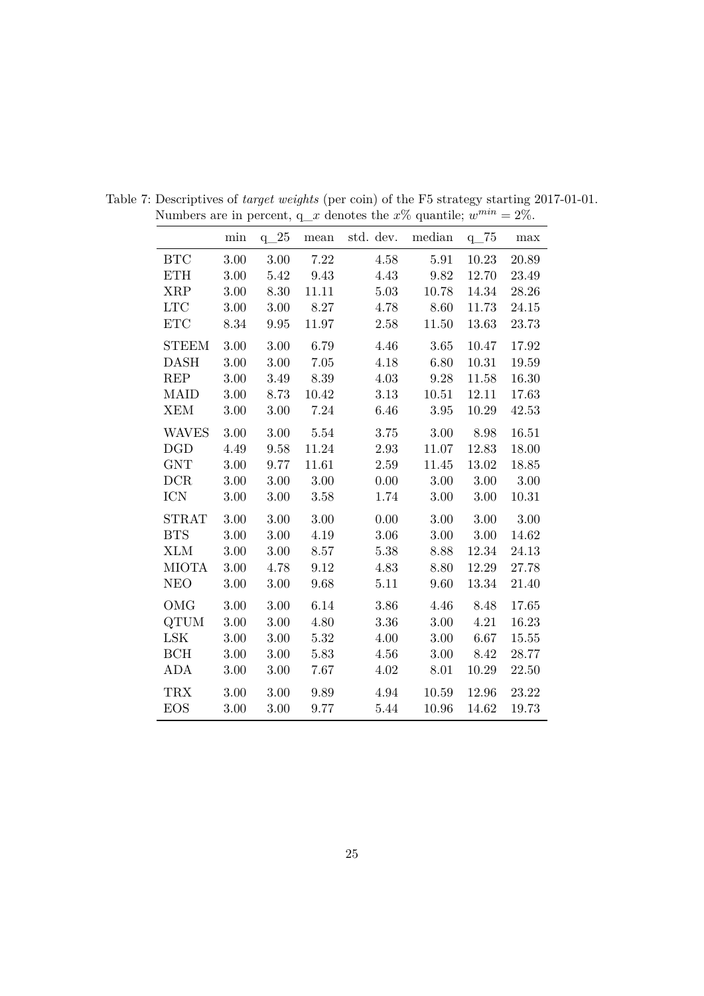<span id="page-24-0"></span>

|              | min      | $q_2$    | mean  | std. dev. | median | $q_{75}$ | max   |
|--------------|----------|----------|-------|-----------|--------|----------|-------|
| <b>BTC</b>   | 3.00     | 3.00     | 7.22  | 4.58      | 5.91   | 10.23    | 20.89 |
| <b>ETH</b>   | 3.00     | 5.42     | 9.43  | 4.43      | 9.82   | 12.70    | 23.49 |
| <b>XRP</b>   | 3.00     | 8.30     | 11.11 | 5.03      | 10.78  | 14.34    | 28.26 |
| LTC          | $3.00\,$ | $3.00\,$ | 8.27  | 4.78      | 8.60   | 11.73    | 24.15 |
| <b>ETC</b>   | 8.34     | 9.95     | 11.97 | 2.58      | 11.50  | 13.63    | 23.73 |
| <b>STEEM</b> | 3.00     | $3.00\,$ | 6.79  | 4.46      | 3.65   | 10.47    | 17.92 |
| <b>DASH</b>  | 3.00     | 3.00     | 7.05  | 4.18      | 6.80   | 10.31    | 19.59 |
| <b>REP</b>   | 3.00     | 3.49     | 8.39  | 4.03      | 9.28   | 11.58    | 16.30 |
| <b>MAID</b>  | 3.00     | $8.73\,$ | 10.42 | 3.13      | 10.51  | 12.11    | 17.63 |
| <b>XEM</b>   | 3.00     | 3.00     | 7.24  | 6.46      | 3.95   | 10.29    | 42.53 |
| <b>WAVES</b> | 3.00     | 3.00     | 5.54  | 3.75      | 3.00   | 8.98     | 16.51 |
| <b>DGD</b>   | 4.49     | 9.58     | 11.24 | 2.93      | 11.07  | 12.83    | 18.00 |
| <b>GNT</b>   | 3.00     | 9.77     | 11.61 | 2.59      | 11.45  | 13.02    | 18.85 |
| DCR          | 3.00     | 3.00     | 3.00  | 0.00      | 3.00   | 3.00     | 3.00  |
| <b>ICN</b>   | 3.00     | $3.00\,$ | 3.58  | 1.74      | 3.00   | $3.00\,$ | 10.31 |
| <b>STRAT</b> | 3.00     | 3.00     | 3.00  | 0.00      | 3.00   | 3.00     | 3.00  |
| <b>BTS</b>   | 3.00     | 3.00     | 4.19  | 3.06      | 3.00   | $3.00\,$ | 14.62 |
| <b>XLM</b>   | 3.00     | 3.00     | 8.57  | 5.38      | 8.88   | 12.34    | 24.13 |
| <b>MIOTA</b> | $3.00\,$ | 4.78     | 9.12  | 4.83      | 8.80   | 12.29    | 27.78 |
| <b>NEO</b>   | 3.00     | 3.00     | 9.68  | 5.11      | 9.60   | 13.34    | 21.40 |
| <b>OMG</b>   | 3.00     | 3.00     | 6.14  | 3.86      | 4.46   | 8.48     | 17.65 |
| <b>QTUM</b>  | 3.00     | 3.00     | 4.80  | 3.36      | 3.00   | 4.21     | 16.23 |
| <b>LSK</b>   | 3.00     | 3.00     | 5.32  | 4.00      | 3.00   | 6.67     | 15.55 |
| BCH          | $3.00\,$ | 3.00     | 5.83  | 4.56      | 3.00   | 8.42     | 28.77 |
| <b>ADA</b>   | 3.00     | 3.00     | 7.67  | 4.02      | 8.01   | 10.29    | 22.50 |
| <b>TRX</b>   | 3.00     | 3.00     | 9.89  | 4.94      | 10.59  | 12.96    | 23.22 |
| <b>EOS</b>   | 3.00     | 3.00     | 9.77  | 5.44      | 10.96  | 14.62    | 19.73 |

Table 7: Descriptives of *target weights* (per coin) of the F5 strategy starting 2017-01-01. Numbers are in percent,  $q_x$  denotes the  $x\%$  quantile;  $w^{min} = 2\%$ .